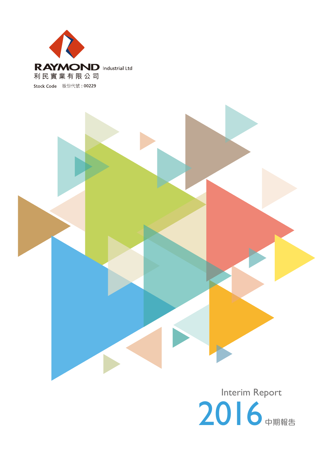



Interim Report 2016 中期報告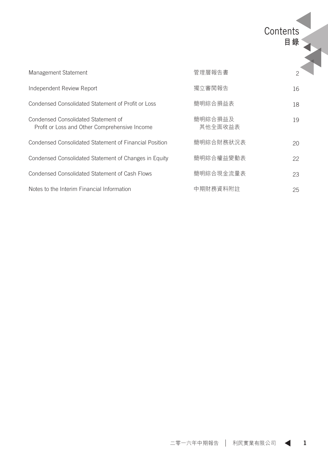| Management Statement                                                                 | 管理層報告書             | $\mathfrak{p}$ |
|--------------------------------------------------------------------------------------|--------------------|----------------|
| Independent Review Report                                                            | 獨立審閲報告             | 16             |
| Condensed Consolidated Statement of Profit or Loss                                   | 簡明綜合損益表            | 18             |
| Condensed Consolidated Statement of<br>Profit or Loss and Other Comprehensive Income | 簡明綜合損益及<br>其他全面收益表 | 19             |
| Condensed Consolidated Statement of Financial Position                               | 簡明綜合財務狀況表          | 20             |
| Condensed Consolidated Statement of Changes in Equity                                | 簡明綜合權益變動表          | 22             |
| Condensed Consolidated Statement of Cash Flows                                       | 簡明綜合現金流量表          | 23             |
| Notes to the Interim Financial Information                                           | 中期財務資料附註           | 25             |

Contents **目錄**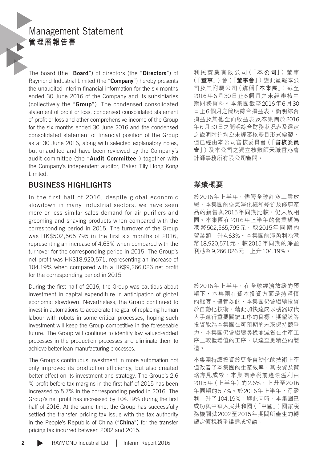# Management Statement **管理層報告書**

The board (the "Board") of directors (the "Directors") of Raymond Industrial Limited (the "Company") hereby presents the unaudited interim financial information for the six months ended 30 June 2016 of the Company and its subsidiaries (collectively the "Group"). The condensed consolidated statement of profit or loss, condensed consolidated statement of profit or loss and other comprehensive income of the Group for the six months ended 30 June 2016 and the condensed consolidated statement of financial position of the Group as at 30 June 2016, along with selected explanatory notes, but unaudited and have been reviewed by the Company's audit committee (the "Audit Committee") together with the Company's independent auditor, Baker Tilly Hong Kong Limited.

### BUSINESS HIGHLIGHTS

In the first half of 2016, despite global economic slowdown in many industrial sectors, we have seen more or less similar sales demand for air purifiers and grooming and shaving products when compared with the corresponding period in 2015. The turnover of the Group was HK\$502,565,795 in the first six months of 2016, representing an increase of 4.63% when compared with the turnover for the corresponding period in 2015. The Group's net profit was HK\$18,920,571, representing an increase of 104.19% when compared with a HK\$9,266,026 net profit for the corresponding period in 2015.

During the first half of 2016, the Group was cautious about investment in capital expenditure in anticipation of global economic slowdown. Nevertheless, the Group continued to invest in automations to accelerate the goal of replacing human labour with robots in some critical processes, hoping such investment will keep the Group competitive in the foreseeable future. The Group will continue to identify low valued-added processes in the production processes and eliminate them to achieve better lean manufacturing processes.

The Group's continuous investment in more automation not only improved its production efficiency, but also created better effect on its investment and strategy. The Group's 2.6 % profit before tax margins in the first half of 2015 has been increased to 5.7% in the corresponding period in 2016. The Group's net profit has increased by 104.19% during the first half of 2016. At the same time, the Group has successfully settled the transfer pricing tax issue with the tax authority in the People's Republic of China ("China") for the transfer pricing tax incurred between 2002 and 2015.

利 民 實 業 有 限 公 司(「 **本 公 司**」)董 事 (「**董事**」)會(「**董事會**」)謹此呈報本公 司及其附屬公司(統稱「**本集團**」)截至 2016年6月30日止6個月之未經審核中 期財務資料。本集團截至2016年6月30 日止6個月之簡明綜合損益表,簡明綜合 損益及其他全面收益表及本集團於2016 年6月30日之簡明綜合財務狀況表及選定 之說明附註均為未經審核賬目形式編製, 但已經由本公司審核委員會(「**審核委員 會**」)及本公司之獨立核數師天職香港會 計師事務所有限公司審閱。

### **業績概要**

於2016年上半年,儘管全球許多工業放 緩,本集團的空氣淨化機和修飾及修剪產 品的銷售與2015年同期比較,仍大致相 同。本集團在2016年上半年的營業額為 港 幣502,565,795元, 較2015年 同 期 的 營業額上升4.63%。本集團的淨盈利為港 幣18,920,571元,較2015年同期的淨盈 利港幣9,266,026元,上升104.19%。

於2016年上半年,在全球經濟放緩的預 期下,本集團在資本投資方面是持謹慎 的態度。儘管如此,本集團仍會繼續投資 於自動化技術,藉此加快達成以機器取代 人手進行重要關鍵工序的目標,期望該等 投資能為本集團在可預期的未來保持競爭 力。本集團仍會繼續尋找並減省在生產工 序上較低增值的工序,以達至更精益的製 造。

本集團持續投資於更多自動化的技術上不 但改善了本集團的生產效率,其投資及策 略亦見成效:本集團除稅前邊際溢利由 2015年(上半年)的2.6%,上升至2016 年同期的5.7%。於2016年上半年,淨盈 利上升了104.19%。與此同時,本集團已 成功與中華人民共和國(「**中國**」)國家稅 務機關就2002至2015年期間所產生的轉 讓定價稅務爭議達成協議。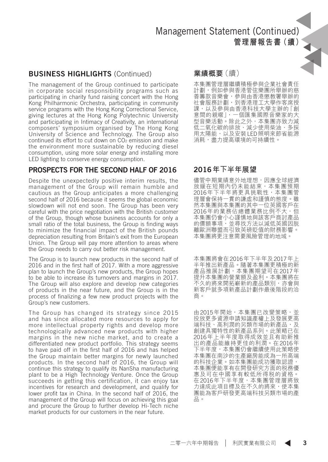#### BUSINESS HIGHLIGHTS (Continued)

The management of the Group continued to participate in corporate social responsibility programs such as participating in charity fund raising concert with the Hong Kong Philharmonic Orchestra, participating in community service programs with the Hong Kong Correctional Service, giving lectures at the Hong Kong Polytechnic University and participating in Intimacy of Creativity, an international composers' symposium organised by The Hong Kong University of Science and Technology. The Group also continued its effort to cut down on CO<sub>2</sub> emission and make the environment more sustainable by reducing diesel consumption, using more solar energy and installing more LED lighting to conserve energy consumption.

#### PROSPECTS FOR THE SECOND HALF OF 2016

Despite the unexpectedly positive interim results, the management of the Group will remain humble and cautious as the Group anticipates a more challenging second half of 2016 because it seems the global economic slowdown will not end soon. The Group has been very careful with the price negotiation with the British customer of the Group, though whose business accounts for only a small ratio of the total business, the Group is finding ways to minimize the financial impact of the British pounds depreciation resulting from Britain's exit from the European Union. The Group will pay more attention to areas where the Group needs to carry out better risk management.

The Group is to launch new products in the second half of 2016 and in the first half of 2017. With a more aggressive plan to launch the Group's new products, the Group hopes to be able to increase its turnovers and margins in 2017. The Group will also explore and develop new categories of products in the near future, and the Group is in the process of finalizing a few new product projects with the Group's new customers.

The Group has changed its strategy since 2015 and has since allocated more resources to apply for more intellectual property rights and develop more technologically advanced new products with higher margins in the new niche market, and to create a differentiated new product portfolio. This strategy seems to have paid off in the first half of 2016 and has helped the Group maintain better margins for newly launched products. In the second half of 2016, the Group will continue this strategy to qualify its NanSha manufacturing plant to be a High Technology Venture. Once the Group succeeds in getting this certification, it can enjoy tax incentives for research and development, and qualify for lower profit tax in China. In the second half of 2016, the management of the Group will focus on achieving this goal and procure the Group to further develop Hi-Tech niche market products for our customers in the near future.

#### **業績概要**(續)

本集團管理層繼續積極參與企業社會責任 計劃,例如參與香港管弦樂團所舉辦的慈 善籌款音樂會,參與由香港懲教署舉辦的 社會服務計劃,到香港理工大學作客席授 課,以及參與由香港科技大學主辦的「創 意間的親暱」,一個匯集國際音樂家的大 型音樂活動。除此之外,本集團亦致力減 低二氧化碳的排放、減少使用柴油、多採 用太陽能,以及安裝LED照明來節省能源 消耗,盡力提高環境的可持續性。

#### 2016**年下半年展望**

儘管中期業績意外地理想,因應全球經濟 放緩在短期內仍未能結束,本集團預期 2016年下半年將更具挑戰性,本集團管 理層會保持一貫的謙虛和謹慎的態度。雖 然本集團與本集團的其中一位英國客戶在 2016年的業務佔總體業務比例不大,但 本集團仍會小心謹慎地與該客戶商討產品 的價額事項,並尋找方法以減低英國因脫 離歐洲聯盟而引致英磅貶值的財務影響。 本集團將更注意需要風險管理的地域。

本集團將會在2016年下半年及2017年上 半年推出新產品。隨著本集團更積極的新 產品推展計劃,本集團期望可在2017年 提升本集團的營業額及盈利。本集團將在 不久的將來開拓嶄新的產品類別,亦會與 新客戶就多項新產品計劃作最後階段的洽 商。

由2015年開始,本集團已改變策略,並 投放更多資源申請知識產權上及發展更高 端科技、高利潤的另類市場的新產品,及 創建具獨特性的新產品系列。此策略已在 2016年上半年度取得成效並且有助新推 出的產品能維持更佳的利潤。在2016年 下半年度,本集團仍會繼續使用此策略使 本集團在南沙的生產廠房能成為一所高端 的科技企業。如本集團能成功獲取認證, 本集團便能享有在開發研究方面的稅務優 惠及可在中國享有較低所得稅的資格。 在2016年下半年度,本集團管理層將致 力達成此項目標及在不久的將來,使本集 團能為客戶研發更高端科技另類市場的產 品。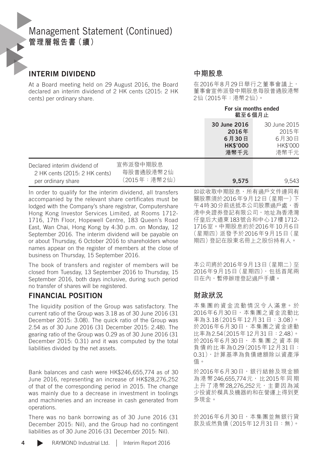### INTERIM DIVIDEND

At a Board meeting held on 29 August 2016, the Board declared an interim dividend of 2 HK cents (2015: 2 HK cents) per ordinary share.

#### **中期股息**

在2016年8月29日舉行之董事會議上, 董事會宣佈派發中期股息每股普通股港幣 2仙(2015年:港幣2仙)。

For six months ended

|                                                                                     |                                       | 截至6個月止                                                    |                                                    |
|-------------------------------------------------------------------------------------|---------------------------------------|-----------------------------------------------------------|----------------------------------------------------|
|                                                                                     |                                       | 30 June 2016<br>2016年<br>6月30日<br><b>HK\$'000</b><br>港幣千元 | 30 June 2015<br>2015年<br>6月30日<br>HK\$'000<br>港幣千元 |
| Declared interim dividend of<br>2 HK cents (2015: 2 HK cents)<br>per ordinary share | 宣佈派發中期股息<br>每股普通股港幣2仙<br>(2015年:港幣2仙) | 9.575                                                     | 9.543                                              |

In order to qualify for the interim dividend, all transfers accompanied by the relevant share certificates must be lodged with the Company's share registrar, Computershare Hong Kong Investor Services Limited, at Rooms 1712- 1716, 17th Floor, Hopewell Centre, 183 Queen's Road East, Wan Chai, Hong Kong by 4:30 p.m. on Monday, 12 September 2016. The interim dividend will be payable on or about Thursday, 6 October 2016 to shareholders whose names appear on the register of members at the close of business on Thursday, 15 September 2016.

The book of transfers and register of members will be closed from Tuesday, 13 September 2016 to Thursday, 15 September 2016, both days inclusive, during such period no transfer of shares will be registered.

### FINANCIAL POSITION

The liquidity position of the Group was satisfactory. The current ratio of the Group was 3.18 as of 30 June 2016 (31 December 2015: 3.08). The quick ratio of the Group was 2.54 as of 30 June 2016 (31 December 2015: 2.48). The gearing ratio of the Group was 0.29 as of 30 June 2016 (31 December 2015: 0.31) and it was computed by the total liabilities divided by the net assets.

Bank balances and cash were HK\$246,655,774 as of 30 June 2016, representing an increase of HK\$28,276,252 of that of the corresponding period in 2015. The change was mainly due to a decrease in investment in toolings and machineries and an increase in cash generated from operations.

There was no bank borrowing as of 30 June 2016 (31 December 2015: Nil), and the Group had no contingent liabilities as of 30 June 2016 (31 December 2015: Nil).

如欲收取中期股息,所有過戶文件連同有 關股票須於2016年9月12日(星期一)下 午4時30分前送抵本公司股票過戶處,香 港中央證券登記有限公司,地址為香港灣 仔皇后大道東183號合和中心17樓1712- 1716室。中期股息約於2016年10月6日 (星期四)派發予於2016年9月15日(星 期四)登記在股東名冊上之股份持有人。

本公司將於2016年9月13日(星期二)至 2016年9月15日(星期四),包括首尾兩 日在內,暫停辦理登記過戶手續。

### **財政狀況**

本集團的資金流動情況令人滿意。於 2016年6月30日,本集團之資金流動比 率為3.18(2015年12月31日:3.08)。 於2016年6月30日,本集團之資金速動 比率為2.54(2015年12月31日:2.48)。 於2016年6月30日, 本 集 團 之 資 本 與 負債的比率為0.29(2015年12月31日: 0.31),計算基準為負債總額除以資產淨 值。

於2016年6月30日,銀行結餘及現金額 為港幣246.655.774元,比2015年同期 上升了港幣28,276,252元,主要因為減 少投資於模具及機器的和在營運上得到更 多現金。

於2016年6月30日,本集團並無銀行貸 款及或然負債(2015年12月31日:無)。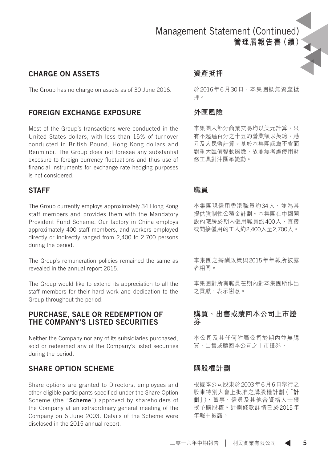#### CHARGE ON ASSETS

The Group has no charge on assets as of 30 June 2016.

### FOREIGN EXCHANGE EXPOSURE

Most of the Group's transactions were conducted in the United States dollars, with less than 15% of turnover conducted in British Pound, Hong Kong dollars and Renminbi. The Group does not foresee any substantial exposure to foreign currency fluctuations and thus use of financial instruments for exchange rate hedging purposes is not considered.

#### STAFF

The Group currently employs approximately 34 Hong Kong staff members and provides them with the Mandatory Provident Fund Scheme. Our factory in China employs approximately 400 staff members, and workers employed directly or indirectly ranged from 2,400 to 2,700 persons during the period.

The Group's remuneration policies remained the same as revealed in the annual report 2015.

The Group would like to extend its appreciation to all the staff members for their hard work and dedication to the Group throughout the period.

#### PURCHASE, SALE OR REDEMPTION OF THE COMPANY'S LISTED SECURITIES

Neither the Company nor any of its subsidiaries purchased, sold or redeemed any of the Company's listed securities during the period.

#### SHARE OPTION SCHEME

Share options are granted to Directors, employees and other eligible participants specified under the Share Option Scheme (the "Scheme") approved by shareholders of the Company at an extraordinary general meeting of the Company on 6 June 2003. Details of the Scheme were disclosed in the 2015 annual report.

#### **資產抵押**

於2016年6月30日,本集團概無資產抵 押。

### **外匯風險**

本集團大部分商業交易均以美元計算、只 有不超過百分之十五的營業額以英鎊、港 元及人民幣計算。基於本集團認為不會面 對重大匯價變動風險,故並無考慮使用財 務工具對沖匯率變動。

#### **職員**

本集團現僱用香港職員約34人,並為其 提供強制性公積金計劃。本集團在中國開 設的廠房於期內僱用職員約400人,直接 或間接僱用的工人約2,400人至2,700人。

本集團之薪酬政策與2015年年報所披露 者相同。

本集團對所有職員在期內對本集團所作出 之貢獻,表示謝意。

#### **購買、出售或贖回本公司上市證 券**

本公司及其任何附屬公司於期內並無購 買、出售或贖回本公司之上市證券。

#### **購股權計劃**

根據本公司股東於2003年6月6日舉行之 股東特別大會上批准之購股權計劃(「**計 劃**」),董事、僱員及其他合資格人士獲 授予購股權。計劃條款詳情已於2015年 年報中披露。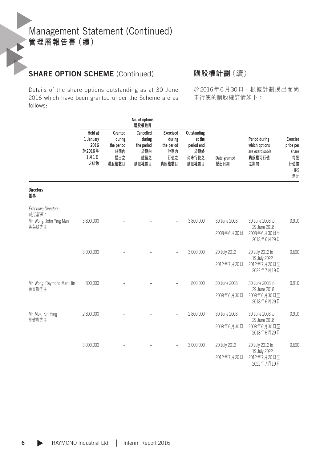### SHARE OPTION SCHEME (Continued)

Details of the share options outstanding as at 30 June 2016 which have been granted under the Scheme are as follows:

**購股權計劃**(續)

於2016年6月30日,根據計劃授出而尚 未行使的購股權詳情如下:

|                                      | NO. OF OPTIONS<br>購股權數目                               |                                                        |                                                          |                                                                 |                                                              |                      |                                                                    |                                                                  |
|--------------------------------------|-------------------------------------------------------|--------------------------------------------------------|----------------------------------------------------------|-----------------------------------------------------------------|--------------------------------------------------------------|----------------------|--------------------------------------------------------------------|------------------------------------------------------------------|
|                                      | Held at<br>1 January<br>2016<br>於2016年<br>1月1日<br>之結餘 | Granted<br>during<br>the period<br>於期內<br>授出之<br>購股權數目 | Cancelled<br>during<br>the period<br>於期內<br>註銷之<br>購股權數目 | <b>Exercised</b><br>during<br>the period<br>於期內<br>行使之<br>購股權數目 | Outstanding<br>at the<br>period end<br>於期終<br>尚未行使之<br>購股權數目 | Date granted<br>授出日期 | Period during<br>which options<br>are exercisable<br>購股權可行使<br>之期間 | <b>Exercise</b><br>price per<br>share<br>每股<br>行使價<br>HK\$<br>港元 |
| <b>Directors</b><br>董事               |                                                       |                                                        |                                                          |                                                                 |                                                              |                      |                                                                    |                                                                  |
| <b>Executive Directors:</b><br>執行董事: |                                                       |                                                        |                                                          |                                                                 |                                                              |                      |                                                                    |                                                                  |
| Mr. Wong, John Ying Man<br>黃英敏先生     | 3,800,000                                             |                                                        |                                                          |                                                                 | 3,800,000                                                    | 30 June 2008         | 30 June 2008 to<br>29 June 2018                                    | 0.910                                                            |
|                                      |                                                       |                                                        |                                                          |                                                                 |                                                              | 2008年6月30日           | 2008年6月30日至<br>2018年6月29日                                          |                                                                  |
|                                      | 3,000,000                                             |                                                        |                                                          |                                                                 | 3,000,000                                                    | 20 July 2012         | 20 July 2012 to                                                    | 0.690                                                            |
|                                      |                                                       |                                                        |                                                          |                                                                 |                                                              | 2012年7月20日           | 19 July 2022<br>2012年7月20日至<br>2022年7月19日                          |                                                                  |
| Mr. Wong, Raymond Man Hin<br>黃文顯先生   | 800,000                                               |                                                        |                                                          |                                                                 | 800,000                                                      | 30 June 2008         | 30 June 2008 to<br>29 June 2018                                    | 0.910                                                            |
|                                      |                                                       |                                                        |                                                          |                                                                 |                                                              | 2008年6月30日           | 2008年6月30日至<br>2018年6月29日                                          |                                                                  |
| Mr. Mok, Kin Hing<br>莫健興先生           | 2,800,000                                             |                                                        |                                                          |                                                                 | 2,800,000                                                    | 30 June 2008         | 30 June 2008 to<br>29 June 2018                                    | 0.910                                                            |
|                                      |                                                       |                                                        |                                                          |                                                                 |                                                              | 2008年6月30日           | 2008年6月30日至<br>2018年6月29日                                          |                                                                  |
|                                      | 3,000,000                                             |                                                        |                                                          |                                                                 | 3,000,000                                                    | 20 July 2012         | 20 July 2012 to                                                    | 0.690                                                            |
|                                      |                                                       |                                                        |                                                          |                                                                 |                                                              | 2012年7月20日           | 19 July 2022<br>2012年7月20日至<br>2022年7月19日                          |                                                                  |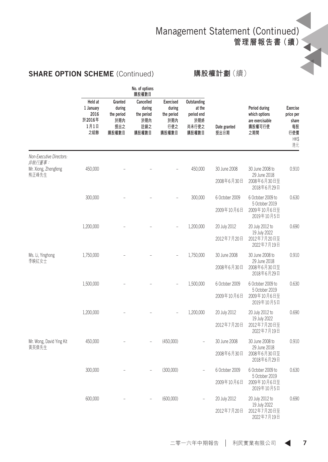Management Statement (Continued)

**管理層報告書(續)**

### SHARE OPTION SCHEME (Continued)

### **購股權計劃**(續)

|                                    |                                                       |                                                        | No. of options<br>購股權數目                                  |                                                                 |                                                              |                      |                                                                    |                                                                  |
|------------------------------------|-------------------------------------------------------|--------------------------------------------------------|----------------------------------------------------------|-----------------------------------------------------------------|--------------------------------------------------------------|----------------------|--------------------------------------------------------------------|------------------------------------------------------------------|
|                                    | Held at<br>1 January<br>2016<br>於2016年<br>1月1日<br>之結餘 | Granted<br>during<br>the period<br>於期內<br>授出之<br>購股權數目 | Cancelled<br>during<br>the period<br>於期內<br>註銷之<br>購股權數目 | <b>Exercised</b><br>during<br>the period<br>於期內<br>行使之<br>購股權數目 | Outstanding<br>at the<br>period end<br>於期終<br>尚未行使之<br>購股權數目 | Date granted<br>授出日期 | Period during<br>which options<br>are exercisable<br>購股權可行使<br>之期間 | <b>Exercise</b><br>price per<br>share<br>每股<br>行使價<br>HK\$<br>港元 |
| Non-Executive Directors:<br>非執行董事: |                                                       |                                                        |                                                          |                                                                 |                                                              |                      |                                                                    |                                                                  |
| Mr. Xiong, Zhengfeng<br>熊正峰先生      | 450,000                                               |                                                        |                                                          |                                                                 | 450,000                                                      | 30 June 2008         | 30 June 2008 to<br>29 June 2018                                    | 0.910                                                            |
|                                    |                                                       |                                                        |                                                          |                                                                 |                                                              | 2008年6月30日           | 2008年6月30日至<br>2018年6月29日                                          |                                                                  |
|                                    | 300,000                                               |                                                        |                                                          |                                                                 | 300,000                                                      | 6 October 2009       | 6 October 2009 to<br>5 October 2019                                | 0.630                                                            |
|                                    |                                                       |                                                        |                                                          |                                                                 |                                                              | 2009年10月6日           | 2009年10月6日至<br>2019年10月5日                                          |                                                                  |
|                                    | 1,200,000                                             |                                                        |                                                          |                                                                 | 1,200,000                                                    | 20 July 2012         | 20 July 2012 to<br>19 July 2022                                    | 0.690                                                            |
|                                    |                                                       |                                                        |                                                          |                                                                 |                                                              | 2012年7月20日           | 2012年7月20日至<br>2022年7月19日                                          |                                                                  |
| Ms. Li, Yinghong<br>李映紅女士          | 1,750,000                                             |                                                        |                                                          |                                                                 | 1,750,000                                                    | 30 June 2008         | 30 June 2008 to<br>29 June 2018                                    | 0.910                                                            |
|                                    |                                                       |                                                        |                                                          |                                                                 |                                                              | 2008年6月30日           | 2008年6月30日至<br>2018年6月29日                                          |                                                                  |
|                                    | 1,500,000                                             |                                                        |                                                          |                                                                 | 1,500,000                                                    | 6 October 2009       | 6 October 2009 to<br>5 October 2019                                | 0.630                                                            |
|                                    |                                                       |                                                        |                                                          |                                                                 |                                                              | 2009年10月6日           | 2009年10月6日至<br>2019年10月5日                                          |                                                                  |
|                                    | 1,200,000                                             |                                                        |                                                          |                                                                 | 1,200,000                                                    | 20 July 2012         | 20 July 2012 to<br>19 July 2022                                    | 0.690                                                            |
|                                    |                                                       |                                                        |                                                          |                                                                 |                                                              | 2012年7月20日           | 2012年7月20日至<br>2022年7月19日                                          |                                                                  |
| Mr. Wong, David Ying Kit<br>黃英傑先生  | 450,000                                               |                                                        |                                                          | (450,000)                                                       |                                                              | 30 June 2008         | 30 June 2008 to<br>29 June 2018                                    | 0.910                                                            |
|                                    |                                                       |                                                        |                                                          |                                                                 |                                                              | 2008年6月30日           | 2008年6月30日至<br>2018年6月29日                                          |                                                                  |
|                                    | 300,000                                               |                                                        |                                                          | (300,000)                                                       | L,                                                           | 6 October 2009       | 6 October 2009 to<br>5 October 2019                                | 0.630                                                            |
|                                    |                                                       |                                                        |                                                          |                                                                 |                                                              | 2009年10月6日           | 2009年10月6日至<br>2019年10月5日                                          |                                                                  |
|                                    | 600,000                                               |                                                        |                                                          | (600,000)                                                       |                                                              | 20 July 2012         | 20 July 2012 to<br>19 July 2022                                    | 0.690                                                            |
|                                    |                                                       |                                                        |                                                          |                                                                 |                                                              | 2012年7月20日           | 2012年7月20日至<br>2022年7月19日                                          |                                                                  |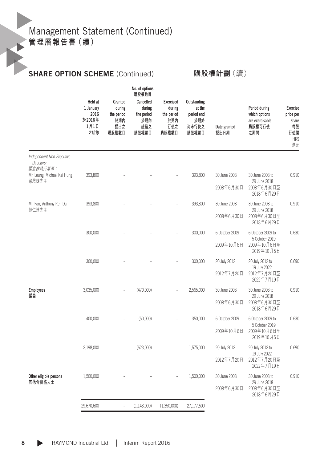## SHARE OPTION SCHEME (Continued)

#### **購股權計劃**(續)

|                                                     | No. of options<br>購股權數目                               |                                                        |                                                          |                                                                 |                                                              |                      |                                                                    |                                                                  |
|-----------------------------------------------------|-------------------------------------------------------|--------------------------------------------------------|----------------------------------------------------------|-----------------------------------------------------------------|--------------------------------------------------------------|----------------------|--------------------------------------------------------------------|------------------------------------------------------------------|
|                                                     | Held at<br>1 January<br>2016<br>於2016年<br>1月1日<br>之結餘 | Granted<br>during<br>the period<br>於期內<br>授出之<br>購股權數目 | Cancelled<br>during<br>the period<br>於期內<br>註銷之<br>購股權數目 | <b>Exercised</b><br>during<br>the period<br>内膜绒<br>行使之<br>購股權數目 | Outstanding<br>at the<br>period end<br>於期終<br>尚未行使之<br>購股權數目 | Date granted<br>授出日期 | Period during<br>which options<br>are exercisable<br>購股權可行使<br>之期間 | <b>Exercise</b><br>price per<br>share<br>每股<br>行使價<br>HK\$<br>港元 |
| Independent Non-Executive<br>Directors:<br>獨立非執行董事: |                                                       |                                                        |                                                          |                                                                 |                                                              |                      |                                                                    |                                                                  |
| Mr. Leung, Michael Kai Hung<br>梁啟雄先生                | 393,800                                               |                                                        |                                                          |                                                                 | 393,800                                                      | 30 June 2008         | 30 June 2008 to<br>29 June 2018                                    | 0.910                                                            |
|                                                     |                                                       |                                                        |                                                          |                                                                 |                                                              | 2008年6月30日           | 2008年6月30日至<br>2018年6月29日                                          |                                                                  |
| Mr. Fan, Anthony Ren Da                             | 393,800                                               |                                                        |                                                          |                                                                 | 393,800                                                      | 30 June 2008         | 30 June 2008 to                                                    | 0.910                                                            |
| 范仁達先生                                               |                                                       |                                                        |                                                          |                                                                 |                                                              | 2008年6月30日           | 29 June 2018<br>2008年6月30日至<br>2018年6月29日                          |                                                                  |
|                                                     | 300,000                                               |                                                        |                                                          |                                                                 | 300,000                                                      | 6 October 2009       | 6 October 2009 to                                                  | 0.630                                                            |
|                                                     |                                                       |                                                        |                                                          |                                                                 |                                                              | 2009年10月6日           | 5 October 2019<br>2009年10月6日至<br>2019年10月5日                        |                                                                  |
|                                                     | 300,000                                               |                                                        |                                                          |                                                                 | 300,000                                                      | 20 July 2012         | 20 July 2012 to                                                    | 0.690                                                            |
|                                                     |                                                       |                                                        |                                                          |                                                                 |                                                              | 2012年7月20日           | 19 July 2022<br>2012年7月20日至<br>2022年7月19日                          |                                                                  |
| <b>Employees</b><br>僱員                              | 3,035,000                                             |                                                        | (470,000)                                                |                                                                 | 2,565,000                                                    | 30 June 2008         | 30 June 2008 to                                                    | 0.910                                                            |
|                                                     |                                                       |                                                        |                                                          |                                                                 |                                                              | 2008年6月30日           | 29 June 2018<br>2008年6月30日至<br>2018年6月29日                          |                                                                  |
|                                                     | 400,000                                               |                                                        | (50,000)                                                 |                                                                 | 350,000                                                      | 6 October 2009       | 6 October 2009 to<br>5 October 2019                                | 0.630                                                            |
|                                                     |                                                       |                                                        |                                                          |                                                                 |                                                              | 2009年10月6日           | 2009年10月6日至<br>2019年10月5日                                          |                                                                  |
|                                                     | 2,198,000                                             |                                                        | (623,000)                                                |                                                                 | 1,575,000                                                    | 20 July 2012         | 20 July 2012 to<br>19 July 2022                                    | 0.690                                                            |
|                                                     |                                                       |                                                        |                                                          |                                                                 |                                                              | 2012年7月20日           | 2012年7月20日至<br>2022年7月19日                                          |                                                                  |
| Other eligible persons<br>其他合資格人士                   | 1,500,000                                             |                                                        |                                                          |                                                                 | 1,500,000                                                    | 30 June 2008         | 30 June 2008 to                                                    | 0.910                                                            |
|                                                     |                                                       |                                                        |                                                          |                                                                 |                                                              | 2008年6月30日           | 29 June 2018<br>2008年6月30日至<br>2018年6月29日                          |                                                                  |
|                                                     | 29,670,600                                            | $\overline{a}$                                         | (1, 143, 000)                                            | (1,350,000)                                                     | 27,177,600                                                   |                      |                                                                    |                                                                  |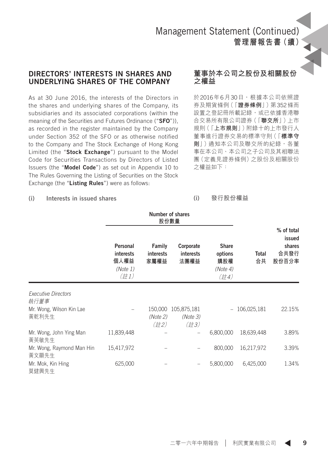#### DIRECTORS' INTERESTS IN SHARES AND UNDERLYING SHARES OF THE COMPANY

As at 30 June 2016, the interests of the Directors in the shares and underlying shares of the Company, its subsidiaries and its associated corporations (within the meaning of the Securities and Futures Ordinance ("SFO")), as recorded in the register maintained by the Company under Section 352 of the SFO or as otherwise notified to the Company and The Stock Exchange of Hong Kong Limited (the "Stock Exchange") pursuant to the Model Code for Securities Transactions by Directors of Listed Issuers (the "Model Code") as set out in Appendix 10 to The Rules Governing the Listing of Securities on the Stock Exchange (the "Listing Rules") were as follows:

#### **董事於本公司之股份及相關股份 之權益**

於2016年6月30日,根據本公司依照證 券及期貨條例(「**證券條例**」)第352條而 設置之登記冊所載記錄,或已依據香港聯 合交易所有限公司證券(「**聯交所**」)上市 規則(「**上市規則**」)附錄十的上市發行人 董事進行證券交易的標準守則(「**標準守 則**」)通知本公司及聯交所的紀錄,各董 事在本公司、本公司之子公司及其相聯法 團(定義見證券條例)之股份及相關股份 之權益如下:

#### (i) Interests in issued shares

#### (i) **發行股份權益**

|                                    |                                                   |                             | Number of shares<br>股份數量        |                                                    |                    | % of total                        |
|------------------------------------|---------------------------------------------------|-----------------------------|---------------------------------|----------------------------------------------------|--------------------|-----------------------------------|
|                                    | Personal<br>interests<br>個人權益<br>(Note 1)<br>(註1) | Family<br>interests<br>家屬權益 | Corporate<br>interests<br>法團權益  | <b>Share</b><br>options<br>購股權<br>(Note 4)<br>(註4) | <b>Total</b><br>合共 | issued<br>shares<br>合共發行<br>股份百分率 |
| <b>Executive Directors</b><br>執行董事 |                                                   |                             |                                 |                                                    |                    |                                   |
| Mr. Wong, Wilson Kin Lae<br>黃乾利先生  |                                                   | 150,000<br>(Note 2)<br>(註2) | 105,875,181<br>(Note 3)<br>(註3) |                                                    | 106,025,181        | 22.15%                            |
| Mr. Wong, John Ying Man<br>黃英敏先生   | 11,839,448                                        |                             |                                 | 6,800,000                                          | 18,639,448         | 3.89%                             |
| Mr. Wong, Raymond Man Hin<br>黃文顯先生 | 15,417,972                                        |                             |                                 | 800,000                                            | 16,217,972         | 3.39%                             |
| Mr. Mok, Kin Hing<br>莫健興先生         | 625,000                                           |                             |                                 | 5,800,000                                          | 6,425,000          | 1.34%                             |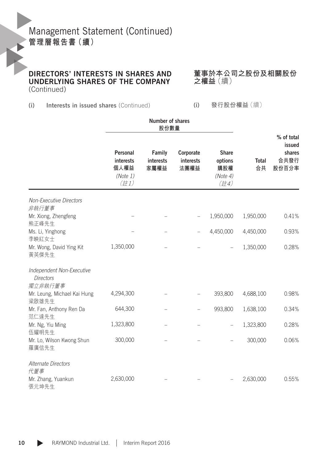DIRECTORS' INTERESTS IN SHARES AND UNDERLYING SHARES OF THE COMPANY (Continued)

**董事於本公司之股份及相關股份 之權益**(續)

(i) Interests in issued shares (Continued)

(i) **發行股份權益**(續)

|                                                 | Number of shares<br>股份數量                             |                             |                                       |                                                    |                    |                                                 |
|-------------------------------------------------|------------------------------------------------------|-----------------------------|---------------------------------------|----------------------------------------------------|--------------------|-------------------------------------------------|
|                                                 | Personal<br>interests<br>個人權益<br>(Note 1)<br>$($ 註1) | Family<br>interests<br>家屬權益 | Corporate<br><b>interests</b><br>法團權益 | <b>Share</b><br>options<br>購股權<br>(Note 4)<br>(註4) | <b>Total</b><br>合共 | % of total<br>issued<br>shares<br>合共發行<br>股份百分率 |
| <b>Non-Executive Directors</b>                  |                                                      |                             |                                       |                                                    |                    |                                                 |
| 非執行董事<br>Mr. Xiong, Zhengfeng<br>熊正峰先生          |                                                      |                             |                                       | 1,950,000                                          | 1,950,000          | 0.41%                                           |
| Ms. Li, Yinghong<br>李映紅女士                       |                                                      |                             |                                       | 4,450,000                                          | 4,450,000          | 0.93%                                           |
| Mr. Wong, David Ying Kit<br>黃英傑先生               | 1,350,000                                            |                             |                                       |                                                    | 1,350,000          | 0.28%                                           |
| Independent Non-Executive<br><b>Directors</b>   |                                                      |                             |                                       |                                                    |                    |                                                 |
| 獨立非執行董事<br>Mr. Leung, Michael Kai Hung<br>梁啟雄先生 | 4,294,300                                            |                             |                                       | 393,800                                            | 4,688,100          | 0.98%                                           |
| Mr. Fan, Anthony Ren Da<br>范仁達先生                | 644,300                                              |                             |                                       | 993,800                                            | 1,638,100          | 0.34%                                           |
| Mr. Ng, Yiu Ming<br>伍耀明先生                       | 1,323,800                                            |                             |                                       |                                                    | 1,323,800          | 0.28%                                           |
| Mr. Lo, Wilson Kwong Shun<br>羅廣信先生              | 300,000                                              |                             |                                       |                                                    | 300,000            | 0.06%                                           |
| Alternate Directors<br>代董事                      |                                                      |                             |                                       |                                                    |                    |                                                 |
| Mr. Zhang, Yuankun<br>張元坤先生                     | 2,630,000                                            |                             |                                       |                                                    | 2,630,000          | 0.55%                                           |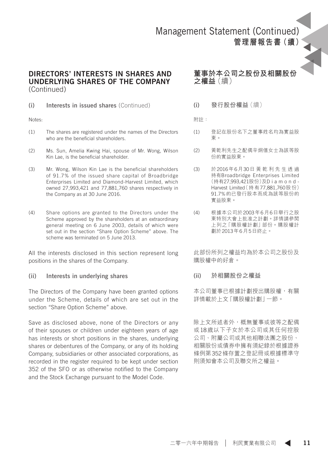#### DIRECTORS' INTERESTS IN SHARES AND UNDERLYING SHARES OF THE COMPANY (Continued)

(i) Interests in issued shares (Continued)

Notes:

- (1) The shares are registered under the names of the Directors who are the beneficial shareholders.
- (2) Ms. Sun, Amelia Kwing Hai, spouse of Mr. Wong, Wilson Kin Lae, is the beneficial shareholder.
- (3) Mr. Wong, Wilson Kin Lae is the beneficial shareholders of 91.7% of the issued share capital of Broadbridge Enterprises Limited and Diamond-Harvest Limited, which owned 27,993,421 and 77,881,760 shares respectively in the Company as at 30 June 2016.
- (4) Share options are granted to the Directors under the Scheme approved by the shareholders at an extraordinary general meeting on 6 June 2003, details of which were set out in the section "Share Option Scheme" above. The scheme was terminated on 5 June 2013.

All the interests disclosed in this section represent long positions in the shares of the Company.

(ii) Interests in underlying shares

The Directors of the Company have been granted options under the Scheme, details of which are set out in the section "Share Option Scheme" above.

Save as disclosed above, none of the Directors or any of their spouses or children under eighteen years of age has interests or short positions in the shares, underlying shares or debentures of the Company, or any of its holding Company, subsidiaries or other associated corporations, as recorded in the register required to be kept under section 352 of the SFO or as otherwise notified to the Company and the Stock Exchange pursuant to the Model Code.

**董事於本公司之股份及相關股份 之權益**(續)

(i) **發行股份權益**(續)

附註:

- (1) 登記在股份名下之董事姓名均為實益股 東。
- (2) 黃乾利先生之配偶辛炯僖女士為該等股 份的實益股東。
- (3) 於2016年6月30日 黃 乾 利 先 生 透 過 持有Broadbridge Enterprises Limited (持有27,993,421股份)及D i a m o n d - Harvest Limited(持有77,881,760股份) 91.7%的已發行股本而成為該等股份的 實益股東。
- (4) 根據本公司於2003年6月6日舉行之股 東特別大會上批准之計劃。詳情請參閱 上列之「購股權計劃」部份。購股權計 劃於2013年6月5日終止。

此部份所列之權益均為於本公司之股份及 購股權中的好倉。

(ii) **於相關股份之權益**

本公司董事已根據計劃授出購股權,有關 詳情載於上文「購股權計劃」一節。

除上文所述者外,概無董事或彼等之配偶 或18歲以下子女於本公司或其任何控股 公司、附屬公司或其他相聯法團之股份、 相關股份或債券中擁有須紀錄於根據證券 條例第352條存置之登記冊或根據標準守 則須知會本公司及聯交所之權益。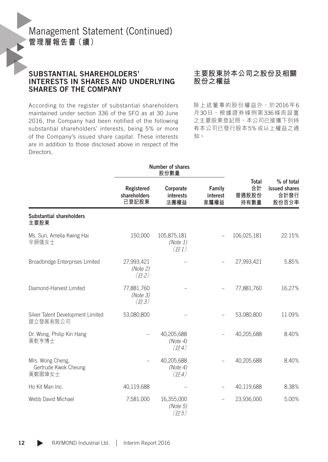#### SUBSTANTIAL SHAREHOLDERS' INTERESTS IN SHARES AND UNDERLYING SHARES OF THE COMPANY

According to the register of substantial shareholders maintained under section 336 of the SFO as at 30 June 2016, the Company had been notified of the following substantial shareholders' interests, being 5% or more of the Company's issued share capital. These interests are in addition to those disclosed above in respect of the Directors.

#### **主要股東於本公司之股份及相關 股份之權益**

除上述董事的股份權益外,於2016年6 月30日,根據證券條例第336條而設置 之主要股東登記冊,本公司已接獲下列持 有本公司已發行股本5%或以上權益之通 知。

|                                                    |                                             | Number of shares<br>股份數量                    |                            |                              |                                              |
|----------------------------------------------------|---------------------------------------------|---------------------------------------------|----------------------------|------------------------------|----------------------------------------------|
|                                                    | Registered<br>shareholders<br>已登記股東         | Corporate<br><b>interests</b><br>法團權益       | Family<br>interest<br>家屬權益 | Total<br>合計<br>普通股股份<br>持有數量 | % of total<br>issued shares<br>合計發行<br>股份百分率 |
| <b>Substantial shareholders</b><br>主要股東            |                                             |                                             |                            |                              |                                              |
| Ms. Sun, Amelia Kwing Hai<br>辛炯僖女士                 | 150,000                                     | 105,875,181<br>(Note 1)<br>$($ 註1)          |                            | 106,025,181                  | 22.15%                                       |
| Broadbridge Enterprises Limited                    | 27,993,421<br>(Note 2)<br>(詳2)              |                                             |                            | 27,993,421                   | 5.85%                                        |
| Diamond-Harvest Limited                            | 77,881,760<br>(Note 3)<br>$(\frac{2}{5}73)$ |                                             |                            | 77,881,760                   | 16.27%                                       |
| Silver Talent Development Limited<br>銀立發展有限公司      | 53,080,800                                  |                                             |                            | 53,080,800                   | 11.09%                                       |
| Dr. Wong, Philip Kin Hang<br>黃乾亨博士                 |                                             | 40,205,688<br>(Note 4)<br>$(\frac{2}{5}74)$ |                            | 40,205,688                   | 8.40%                                        |
| Mrs. Wong Cheng,<br>Gertrude Kwok Cheung<br>黃鄭國璋女士 |                                             | 40,205,688<br>(Note 4)<br>(註4)              |                            | 40,205,688                   | 8.40%                                        |
| Ho Kit Man Inc.                                    | 40,119,688                                  |                                             |                            | 40,119,688                   | 8.38%                                        |
| Webb David Michael                                 | 7,581,000                                   | 16,355,000<br>(Note 5)<br>(註5)              |                            | 23,936,000                   | 5.00%                                        |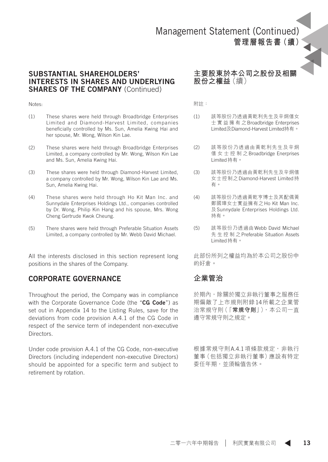#### SUBSTANTIAL SHAREHOLDERS' INTERESTS IN SHARES AND UNDERLYING SHARES OF THE COMPANY (Continued)

#### Notes:

- (1) These shares were held through Broadbridge Enterprises Limited and Diamond-Harvest Limited, companies beneficially controlled by Ms. Sun, Amelia Kwing Hai and her spouse, Mr. Wong, Wilson Kin Lae.
- (2) These shares were held through Broadbridge Enterprises Limited, a company controlled by Mr. Wong, Wilson Kin Lae and Ms. Sun, Amelia Kwing Hai.
- (3) These shares were held through Diamond-Harvest Limited, a company controlled by Mr. Wong, Wilson Kin Lae and Ms. Sun, Amelia Kwing Hai.
- (4) These shares were held through Ho Kit Man Inc. and Sunnydale Enterprises Holdings Ltd., companies controlled by Dr. Wong, Philip Kin Hang and his spouse, Mrs. Wong Cheng Gertrude Kwok Cheung.
- (5) There shares were held through Preferable Situation Assets Limited, a company controlled by Mr. Webb David Michael.

All the interests disclosed in this section represent long positions in the shares of the Company.

#### CORPORATE GOVERNANCE

Throughout the period, the Company was in compliance with the Corporate Governance Code (the "CG Code") as set out in Appendix 14 to the Listing Rules, save for the deviations from code provision A.4.1 of the CG Code in respect of the service term of independent non-executive **Directors** 

Under code provision A.4.1 of the CG Code, non-executive Directors (including independent non-executive Directors) should be appointed for a specific term and subject to retirement by rotation.

#### **主要股東於本公司之股份及相關 股份之權益**(續)

附註:

- (1) 該等股份乃透過黃乾利先生及辛炯僖女 士 實 益 擁 有 之Broadbridge Enterprises Limited及Diamond-Harvest Limited持有。
- (2) 該等股份乃透過由黃乾利先生及辛炯 僖 女 士 控 制 之Broadbridge Enerprises Limited持有。
- (3) 該等股份乃透過由黃乾利先生及辛炯僖 女士控制之Diamond-Harvest Limited持 有。
- (4) 該等股份乃透過黃乾亨博士及其配偶黃 鄭國璋女士實益擁有之Ho Kit Man Inc. 及Sunnydale Enterprises Holdings Ltd. 持有。
- (5) 該等股份乃透過由Webb David Michael 先 生 控 制 之Preferable Situation Assets Limited持有。

此部份所列之權益均為於本公司之股份中 的好合。

#### **企業管治**

於期內,除關於獨立非執行董事之服務任 期偏敵了上市規則附錄14所載之企業管 治常規守則(「**常規守則**」),本公司一直 遵守常規守則之規定。

根據常規守則A.4.1項條款規定, 非執行 董事(包括獨立非執行董事)應設有特定 委任年期,並須輪值告休。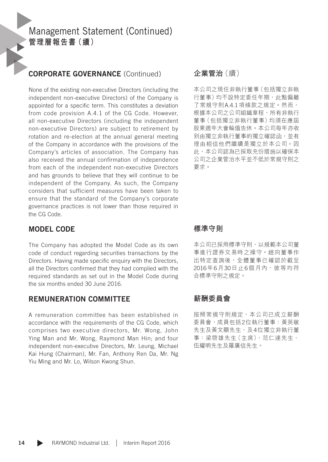### CORPORATE GOVERNANCE (Continued)

None of the existing non-executive Directors (including the independent non-executive Directors) of the Company is appointed for a specific term. This constitutes a deviation from code provision A.4.1 of the CG Code. However, all non-executive Directors (including the independent non-executive Directors) are subject to retirement by rotation and re-election at the annual general meeting of the Company in accordance with the provisions of the Company's articles of association. The Company has also received the annual confirmation of independence from each of the independent non-executive Directors and has grounds to believe that they will continue to be independent of the Company. As such, the Company considers that sufficient measures have been taken to ensure that the standard of the Company's corporate governance practices is not lower than those required in the CG Code.

#### MODEL CODE

The Company has adopted the Model Code as its own code of conduct regarding securities transactions by the Directors. Having made specific enquiry with the Directors, all the Directors confirmed that they had complied with the required standards as set out in the Model Code during the six months ended 30 June 2016.

#### REMUNERATION COMMITTEE

A remuneration committee has been established in accordance with the requirements of the CG Code, which comprises two executive directors, Mr. Wong, John Ying Man and Mr. Wong, Raymond Man Hin; and four independent non-executive Directors, Mr. Leung, Michael Kai Hung (Chairman), Mr. Fan, Anthony Ren Da, Mr. Ng Yiu Ming and Mr. Lo, Wilson Kwong Shun.

#### **企業管治**(續)

本公司之現任非執行董事(包括獨立非執 行董事)均不設特定委任年期,此點偏離 了常規守則A.4.1項條款之規定。然而, 根據本公司之公司組織章程,所有非執行 董事(包括獨立非執行董事)均須在應屆 股東週年大會輪值告休。本公司每年亦收 到由獨立非執行董事的獨立確認函,並有 理由相信他們繼續是獨立於本公司。因 此,本公司認為已採取充份措施以確保本 公司之企業管治水平並不低於常規守則之 要求。

#### **標準守則**

本公司已採用標準守則,以規範本公司董 事進行證券交易時之操守。經向董事作 出特定查詢後,全體董事已確認於截至 2016年6月30日止6個月內,彼等均符 合標準守則之規定。

### **薪酬委員會**

按照常規守則規定,本公司已成立薪酬 委員會,成員包括2位執行董事:黃英敏 先生及黃文顯先生,及4位獨立非執行董 事:梁啓雄先生(主席)、范仁達先生、 伍耀明先生及羅廣信先生。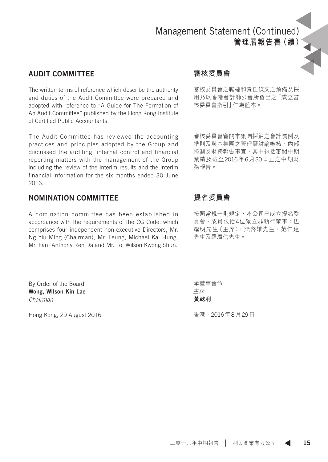### AUDIT COMMITTEE

The written terms of reference which describe the authority and duties of the Audit Committee were prepared and adopted with reference to "A Guide for The Formation of An Audit Committee" published by the Hong Kong Institute of Certified Public Accountants.

The Audit Committee has reviewed the accounting practices and principles adopted by the Group and discussed the auditing, internal control and financial reporting matters with the management of the Group including the review of the interim results and the interim financial information for the six months ended 30 June 2016.

### NOMINATION COMMITTEE

A nomination committee has been established in accordance with the requirements of the CG Code, which comprises four independent non-executive Directors, Mr. Ng Yiu Ming (Chairman), Mr. Leung, Michael Kai Hung, Mr. Fan, Anthony Ren Da and Mr. Lo, Wilson Kwong Shun.

By Order of the Board Wong, Wilson Kin Lae *Chairman*

Hong Kong, 29 August 2016

### **審核委員會**

審核委員會之職權和責任條文之預備及採 用乃以香港會計師公會所發出之「成立審 核委員會指引」作為藍本。

審核委員會審閱本集團採納之會計慣例及 準則及與本集團之管理層討論審核、內部 控制及財務報告事宜,其中包括審閲中期 業績及截至2016年6月30日止之中期財 務報告。

### **提名委員會**

按照常規守則規定,本公司已成立提名委 員會,成員包括4位獨立非執行董事:伍 耀明先生(主席)、梁啓雄先生、范仁達 先生及羅廣信先生。

承董事會命 主席 **黃乾利**

香港,2016年8月29日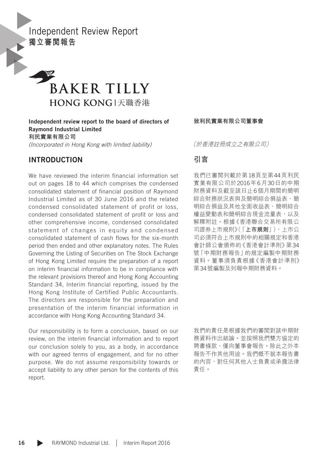Independent Review Report **獨立審閱報告**



Independent review report to the board of directors of Raymond Industrial Limited **利民實業有限公司** *(Incorporated in Hong Kong with limited liability)*

#### INTRODUCTION

We have reviewed the interim financial information set out on pages 18 to 44 which comprises the condensed consolidated statement of financial position of Raymond Industrial Limited as of 30 June 2016 and the related condensed consolidated statement of profit or loss, condensed consolidated statement of profit or loss and other comprehensive income, condensed consolidated statement of changes in equity and condensed consolidated statement of cash flows for the six-month period then ended and other explanatory notes. The Rules Governing the Listing of Securities on The Stock Exchange of Hong Kong Limited require the preparation of a report on interim financial information to be in compliance with the relevant provisions thereof and Hong Kong Accounting Standard 34, Interim financial reporting, issued by the Hong Kong Institute of Certified Public Accountants. The directors are responsible for the preparation and presentation of the interim financial information in accordance with Hong Kong Accounting Standard 34.

Our responsibility is to form a conclusion, based on our review, on the interim financial information and to report our conclusion solely to you, as a body, in accordance with our agreed terms of engagement, and for no other purpose. We do not assume responsibility towards or accept liability to any other person for the contents of this report.

**致利民實業有限公司董事會**

(於香港註冊成立之有限公司)

### **引言**

我們已審閱列載於第18頁至第44頁利民 實業有限公司於2016年6月30日的中期 財務資料及截至該日止6個月期間的簡明 綜合財務狀況表與及簡明綜合損益表、簡 明綜合損益及其他全面收益表、簡明綜合 權益變動表和簡明綜合現金流量表,以及 解釋附註。根據《香港聯合交易所有限公 司證券上市規則》(「**上市規則**」),上市公 司必須符合上市規則中的相關規定和香港 會計師公會頒佈的《香港會計準則》第34 號「中期財務報告」的規定編製中期財務 資料。董事須負責根據《香港會計準則》 第34號編製及列報中期財務資料。

我們的責任是根據我們的審閱對該中期財 務資料作出結論。並按照我們雙方協定的 聘書條款,僅向董事會報告。除此之外本 報告不作其他用途。我們概不就本報告書 的內容,對任何其他人士負責或承擔法律 責任。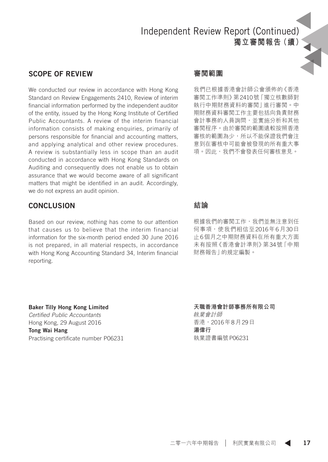# Independent Review Report (Continued) **獨立審閱報告(續)**

#### SCOPE OF REVIEW

We conducted our review in accordance with Hong Kong Standard on Review Engagements 2410, Review of interim financial information performed by the independent auditor of the entity, issued by the Hong Kong Institute of Certified Public Accountants. A review of the interim financial information consists of making enquiries, primarily of persons responsible for financial and accounting matters, and applying analytical and other review procedures. A review is substantially less in scope than an audit conducted in accordance with Hong Kong Standards on Auditing and consequently does not enable us to obtain assurance that we would become aware of all significant matters that might be identified in an audit. Accordingly, we do not express an audit opinion.

#### **CONCLUSION**

Based on our review, nothing has come to our attention that causes us to believe that the interim financial information for the six-month period ended 30 June 2016 is not prepared, in all material respects, in accordance with Hong Kong Accounting Standard 34, Interim financial reporting.

Baker Tilly Hong Kong Limited *Certified Public Accountants* Hong Kong, 29 August 2016 Tong Wai Hang Practising certificate number P06231

#### **審閱範圍**

我們已根據香港會計師公會頒佈的《香港 審閱工作準則》第2410號「獨立核數師對 執行中期財務資料的審閱」進行審閱。中 期財務資料審閱工作主要包括向負責財務 會計事務的人員詢問,並實施分析和其他 審閱程序。由於審閱的範圍遠較按照香港 審核的範圍為少,所以不能保證我們會注 意到在審核中可能會被發現的所有重大事 項。因此,我們不會發表任何審核意見。

#### **結論**

根據我們的審閲工作,我們並無注意到任 何事項,使我們相信至2016年6月30日 止6個月之中期財務資料在所有重大方面 未有按照《香港會計準則》第34號「中期 財務報告」的規定編製。

#### **天職香港會計師事務所有限公司**

執業會計師 香港,2016年8月29日 **湯偉行** 執業證書編號P06231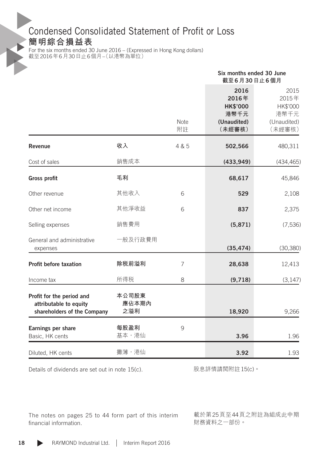# Condensed Consolidated Statement of Profit or Loss

**簡明綜合損益表**

For the six months ended 30 June 2016 – (Expressed in Hong Kong dollars) 截至2016年6月30日止6個月–(以港幣為單位)

|                                                                                    |                       |            | Six months ended 30 June<br>截至6月30日止6個月                           |                                                            |
|------------------------------------------------------------------------------------|-----------------------|------------|-------------------------------------------------------------------|------------------------------------------------------------|
|                                                                                    |                       | Note<br>附註 | 2016<br>2016年<br><b>HK\$'000</b><br>港幣千元<br>(Unaudited)<br>(未經審核) | 2015<br>2015年<br>HK\$'000<br>港幣千元<br>(Unaudited)<br>(未經審核) |
| Revenue                                                                            | 收入                    | 4 & 5      | 502,566                                                           | 480,311                                                    |
| Cost of sales                                                                      | 銷售成本                  |            | (433, 949)                                                        | (434, 465)                                                 |
| <b>Gross profit</b>                                                                | 毛利                    |            | 68,617                                                            | 45,846                                                     |
| Other revenue                                                                      | 其他收入                  | 6          | 529                                                               | 2,108                                                      |
| Other net income                                                                   | 其他淨收益                 | 6          | 837                                                               | 2,375                                                      |
| Selling expenses                                                                   | 銷售費用                  |            | (5,871)                                                           | (7, 536)                                                   |
| General and administrative<br>expenses                                             | 一般及行政費用               |            | (35, 474)                                                         | (30, 380)                                                  |
| Profit before taxation                                                             | 除税前溢利                 | 7          | 28,638                                                            | 12,413                                                     |
| Income tax                                                                         | 所得税                   | 8          | (9,718)                                                           | (3, 147)                                                   |
| Profit for the period and<br>attributable to equity<br>shareholders of the Company | 本公司股東<br>應佔本期內<br>之溢利 |            | 18,920                                                            | 9,266                                                      |
| Earnings per share<br>Basic, HK cents                                              | 每股盈利<br>基本,港仙         | 9          | 3.96                                                              | 1.96                                                       |
| Diluted, HK cents                                                                  | 攤薄,港仙                 |            | 3.92                                                              | 1.93                                                       |

Details of dividends are set out in note 15(c).

股息詳情請閱附註15(c)。

The notes on pages 25 to 44 form part of this interim financial information.

載於第25頁至44頁之附註為組成此中期 財務資料之一部份。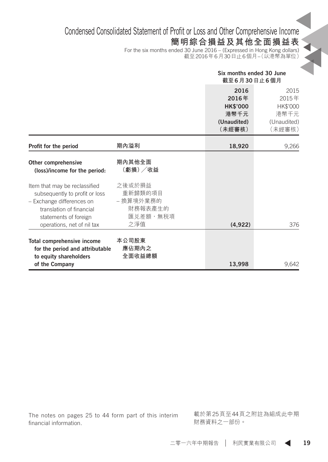# Condensed Consolidated Statement of Profit or Loss and Other Comprehensive Income

# **簡明綜合損益及其他全面損益表**

For the six months ended 30 June 2016 – (Expressed in Hong Kong dollars) 截至2016年6月30日止6個月–(以港幣為單位)

|                                                                                                                                                                                 |                                                              | Six months ended 30 June<br>截至6月30日止6個月                           |                                                            |
|---------------------------------------------------------------------------------------------------------------------------------------------------------------------------------|--------------------------------------------------------------|-------------------------------------------------------------------|------------------------------------------------------------|
|                                                                                                                                                                                 |                                                              | 2016<br>2016年<br><b>HK\$'000</b><br>港幣千元<br>(Unaudited)<br>(未經審核) | 2015<br>2015年<br>HK\$'000<br>港幣千元<br>(Unaudited)<br>(未經審核) |
| Profit for the period                                                                                                                                                           | 期內溢利                                                         | 18,920                                                            | 9,266                                                      |
| Other comprehensive<br>(loss)/income for the period:                                                                                                                            | 期內其他全面<br>(虧損) /收益                                           |                                                                   |                                                            |
| Item that may be reclassified<br>subsequently to profit or loss<br>- Exchange differences on<br>translation of financial<br>statements of foreign<br>operations, net of nil tax | 之後或於損益<br>重新歸類的項目<br>- 換算境外業務的<br>財務報表產生的<br>匯兑差額,無税項<br>之淨值 | (4,922)                                                           | 376                                                        |
| Total comprehensive income<br>for the period and attributable<br>to equity shareholders<br>of the Company                                                                       | 本公司股東<br>應佔期內之<br>全面收益總額                                     | 13.998                                                            | 9.642                                                      |

The notes on pages 25 to 44 form part of this interim financial information.

載於第25頁至44頁之附註為組成此中期 財務資料之一部份。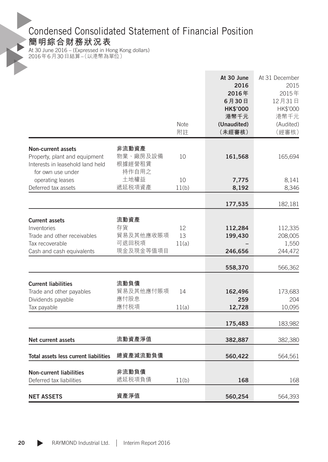# Condensed Consolidated Statement of Financial Position

### **簡明綜合財務狀況表**

At 30 June 2016 – (Expressed in Hong Kong dollars) 2016年6月30日結算–(以港幣為單位)

| Note<br>(Unaudited)<br>(Audited)<br>附註<br>(未經審核)<br>(經審核)<br>非流動資產<br><b>Non-current assets</b><br>物業、廠房及設備<br>Property, plant and equipment<br>10<br>161,568<br>165,694<br>根據經營租賃<br>Interests in leasehold land held<br>持作自用之<br>for own use under<br>土地權益<br>10<br>operating leases<br>7,775<br>8,141<br>遞延税項資產<br>Deferred tax assets<br>11(b)<br>8,192<br>8,346<br>177,535<br>182,181<br>流動資產<br><b>Current assets</b><br>存貨<br>Inventories<br>12<br>112,284<br>112,335<br>貿易及其他應收賬項<br>13<br>199,430<br>Trade and other receivables<br>208,005<br>可退回税項<br>Tax recoverable<br>1,550<br>11(a)<br>現金及現金等值項目<br>246,656<br>Cash and cash equivalents<br>244,472<br>558,370<br>566,362<br>流動負債<br><b>Current liabilities</b><br>貿易及其他應付賬項<br>Trade and other payables<br>14<br>162,496<br>173,683<br>應付股息<br>Dividends payable<br>259<br>204<br>應付税項<br>12,728<br>10,095<br>Tax payable<br>11(a)<br>175,483<br>183,982<br>流動資產淨值<br><b>Net current assets</b><br>382,887<br>382,380<br>總資產減流動負債<br>Total assets less current liabilities<br>560,422<br>564,561<br>非流動負債<br><b>Non-current liabilities</b><br>遞延税項負債<br>Deferred tax liabilities<br>11(b)<br>168<br>168 |                   |      | At 30 June<br>2016<br>2016年<br>6月30日<br><b>HK\$'000</b><br>港幣千元 | At 31 December<br>2015<br>2015年<br>12月31日<br>HK\$'000<br>港幣千元 |
|--------------------------------------------------------------------------------------------------------------------------------------------------------------------------------------------------------------------------------------------------------------------------------------------------------------------------------------------------------------------------------------------------------------------------------------------------------------------------------------------------------------------------------------------------------------------------------------------------------------------------------------------------------------------------------------------------------------------------------------------------------------------------------------------------------------------------------------------------------------------------------------------------------------------------------------------------------------------------------------------------------------------------------------------------------------------------------------------------------------------------------------------------------------------------|-------------------|------|-----------------------------------------------------------------|---------------------------------------------------------------|
|                                                                                                                                                                                                                                                                                                                                                                                                                                                                                                                                                                                                                                                                                                                                                                                                                                                                                                                                                                                                                                                                                                                                                                          |                   |      |                                                                 |                                                               |
|                                                                                                                                                                                                                                                                                                                                                                                                                                                                                                                                                                                                                                                                                                                                                                                                                                                                                                                                                                                                                                                                                                                                                                          |                   |      |                                                                 |                                                               |
|                                                                                                                                                                                                                                                                                                                                                                                                                                                                                                                                                                                                                                                                                                                                                                                                                                                                                                                                                                                                                                                                                                                                                                          |                   |      |                                                                 |                                                               |
|                                                                                                                                                                                                                                                                                                                                                                                                                                                                                                                                                                                                                                                                                                                                                                                                                                                                                                                                                                                                                                                                                                                                                                          |                   |      |                                                                 |                                                               |
|                                                                                                                                                                                                                                                                                                                                                                                                                                                                                                                                                                                                                                                                                                                                                                                                                                                                                                                                                                                                                                                                                                                                                                          |                   |      |                                                                 |                                                               |
|                                                                                                                                                                                                                                                                                                                                                                                                                                                                                                                                                                                                                                                                                                                                                                                                                                                                                                                                                                                                                                                                                                                                                                          |                   |      |                                                                 |                                                               |
|                                                                                                                                                                                                                                                                                                                                                                                                                                                                                                                                                                                                                                                                                                                                                                                                                                                                                                                                                                                                                                                                                                                                                                          |                   |      |                                                                 |                                                               |
|                                                                                                                                                                                                                                                                                                                                                                                                                                                                                                                                                                                                                                                                                                                                                                                                                                                                                                                                                                                                                                                                                                                                                                          |                   |      |                                                                 |                                                               |
|                                                                                                                                                                                                                                                                                                                                                                                                                                                                                                                                                                                                                                                                                                                                                                                                                                                                                                                                                                                                                                                                                                                                                                          |                   |      |                                                                 |                                                               |
|                                                                                                                                                                                                                                                                                                                                                                                                                                                                                                                                                                                                                                                                                                                                                                                                                                                                                                                                                                                                                                                                                                                                                                          |                   |      |                                                                 |                                                               |
|                                                                                                                                                                                                                                                                                                                                                                                                                                                                                                                                                                                                                                                                                                                                                                                                                                                                                                                                                                                                                                                                                                                                                                          |                   |      |                                                                 |                                                               |
|                                                                                                                                                                                                                                                                                                                                                                                                                                                                                                                                                                                                                                                                                                                                                                                                                                                                                                                                                                                                                                                                                                                                                                          |                   |      |                                                                 |                                                               |
|                                                                                                                                                                                                                                                                                                                                                                                                                                                                                                                                                                                                                                                                                                                                                                                                                                                                                                                                                                                                                                                                                                                                                                          |                   |      |                                                                 |                                                               |
|                                                                                                                                                                                                                                                                                                                                                                                                                                                                                                                                                                                                                                                                                                                                                                                                                                                                                                                                                                                                                                                                                                                                                                          |                   |      |                                                                 |                                                               |
|                                                                                                                                                                                                                                                                                                                                                                                                                                                                                                                                                                                                                                                                                                                                                                                                                                                                                                                                                                                                                                                                                                                                                                          |                   |      |                                                                 |                                                               |
|                                                                                                                                                                                                                                                                                                                                                                                                                                                                                                                                                                                                                                                                                                                                                                                                                                                                                                                                                                                                                                                                                                                                                                          |                   |      |                                                                 |                                                               |
|                                                                                                                                                                                                                                                                                                                                                                                                                                                                                                                                                                                                                                                                                                                                                                                                                                                                                                                                                                                                                                                                                                                                                                          |                   |      |                                                                 |                                                               |
|                                                                                                                                                                                                                                                                                                                                                                                                                                                                                                                                                                                                                                                                                                                                                                                                                                                                                                                                                                                                                                                                                                                                                                          |                   |      |                                                                 |                                                               |
|                                                                                                                                                                                                                                                                                                                                                                                                                                                                                                                                                                                                                                                                                                                                                                                                                                                                                                                                                                                                                                                                                                                                                                          |                   |      |                                                                 |                                                               |
|                                                                                                                                                                                                                                                                                                                                                                                                                                                                                                                                                                                                                                                                                                                                                                                                                                                                                                                                                                                                                                                                                                                                                                          |                   |      |                                                                 |                                                               |
|                                                                                                                                                                                                                                                                                                                                                                                                                                                                                                                                                                                                                                                                                                                                                                                                                                                                                                                                                                                                                                                                                                                                                                          |                   |      |                                                                 |                                                               |
|                                                                                                                                                                                                                                                                                                                                                                                                                                                                                                                                                                                                                                                                                                                                                                                                                                                                                                                                                                                                                                                                                                                                                                          |                   |      |                                                                 |                                                               |
|                                                                                                                                                                                                                                                                                                                                                                                                                                                                                                                                                                                                                                                                                                                                                                                                                                                                                                                                                                                                                                                                                                                                                                          | <b>NET ASSETS</b> | 資產淨值 | 560,254                                                         | 564,393                                                       |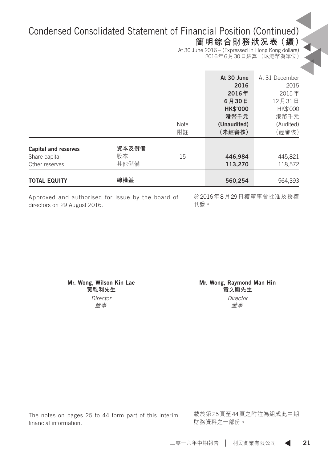# Condensed Consolidated Statement of Financial Position (Continued)

# **簡明綜合財務狀況表(續)**

At 30 June 2016 – (Expressed in Hong Kong dollars) 2016年6月30日結算–(以港幣為單位)

|                                                                                       |                            | <b>Note</b><br>附註 | At 30 June<br>2016<br>2016年<br>6月30日<br><b>HK\$'000</b><br>港幣千元<br>(Unaudited)<br>(未經審核) | At 31 December<br>2015<br>2015年<br>12月31日<br>HK\$'000<br>港幣千元<br>(Audited)<br>(經審核) |
|---------------------------------------------------------------------------------------|----------------------------|-------------------|------------------------------------------------------------------------------------------|-------------------------------------------------------------------------------------|
| <b>Capital and reserves</b><br>Share capital<br>Other reserves<br><b>TOTAL EQUITY</b> | 資本及儲備<br>股本<br>其他儲備<br>總權益 | 15                | 446,984<br>113,270<br>560,254                                                            | 445,821<br>118,572<br>564,393                                                       |

Approved and authorised for issue by the board of directors on 29 August 2016.

於2016年8月29日獲董事會批准及授權 刊發。

かんじょう しょうしょう じゅんじょう じゅんじょう すいじん 董事

Mr. Wong, Wilson Kin Lae Mr. Wong, Raymond Man Hin **黃乾利先生 唐朝 黄**文顯先生 *Director Director*

The notes on pages 25 to 44 form part of this interim financial information.

載於第25頁至44頁之附註為組成此中期 財務資料之一部份。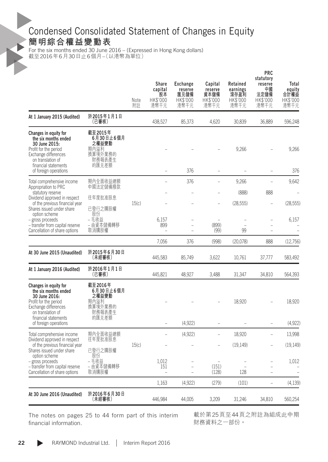# Condensed Consolidated Statement of Changes in Equity **簡明綜合權益變動表**

For the six months ended 30 June 2016 – (Expressed in Hong Kong dollars) 截至2016年6月30日止6個月–(以港幣為單位)

| 於2015年1月1日<br>At 1 January 2015 (Audited)<br>(已審核)<br>438,527<br>85,373<br>4,620<br>30,839<br>36,889<br>截至2015年<br>Changes in equity for<br>6月30日止6個月<br>the six months ended<br>之權益變動<br>30 June 2015:<br>期內溢利<br>9,266<br>Profit for the period<br>換算境外業務的<br>Exchange differences<br>財務報表產生<br>on translation of<br>financial statements<br>的匯兑差額<br>of foreign operations<br>376<br>$\overline{a}$<br>$\overline{\phantom{a}}$<br>376<br>9,266<br>期內全面收益總額<br>Total comprehensive income<br>L.<br>中國法定儲備撥款<br>Appropriation to PRC<br>(888)<br>888<br>statutory reserve<br>往年度批准股息<br>Dividend approved in respect<br>of the previous financial year<br>15(c)<br>(28, 555)<br>已發行之購股權<br>Shares issued under share<br>股份<br>option scheme<br>– 毛收益<br>- gross proceeds<br>6.157<br>– 由資本儲備轉移<br>899<br>(899)<br>- transfer from capital reserve<br>$\overline{a}$<br>Cancellation of share options<br>取消購股權<br>(99)<br>99<br>7,056<br>376<br>(998)<br>(20,078)<br>888<br>於2015年6月30日<br>At 30 June 2015 (Unaudited)<br>(未經審核)<br>445,583<br>85,749<br>3,622<br>10,761<br>37,777<br>於2016年1月1日<br>At 1 January 2016 (Audited)<br>(已審核)<br>445,821<br>48,927<br>3,488<br>31,347<br>34,810<br>截至2016年<br>Changes in equity for<br>6月30日止6個月<br>the six months ended<br>之權益變動<br>30 June 2016:<br>期內溢利<br>18,920<br>Profit for the period<br>換算境外業務的<br>Exchange differences<br>財務報表產生<br>on translation of<br>financial statements<br>的匯兑差額<br>(4,922)<br>of foreign operations<br>$\qquad \qquad -$<br>$\overline{\phantom{0}}$<br>期內全面收益總額<br>(4,922)<br>18,920<br>Total comprehensive income<br>$\overline{a}$<br>÷<br>Dividend approved in respect<br>往年度批准股息<br>15(c)<br>(19, 149)<br>of the previous financial year<br>已發行之購股權<br>Shares issued under share<br>股份<br>option scheme<br>- 毛收益<br>1,012<br>- gross proceeds<br>– 由資本儲備轉移<br>151<br>(151)<br>- transfer from capital reserve<br>$\overline{a}$<br>Cancellation of share options<br>取消購股權<br>(128)<br>128<br>٠<br>1,163<br>(4,922)<br>(279)<br>(101)<br>L<br>於2016年6月30日<br>At 30 June 2016 (Unaudited)<br>446,984<br>44,005<br>3,209<br>31,246<br>34,810<br>(未經審核) |  | Note<br>附註 | Share<br>capital<br>股本<br>HK\$'000<br>港幣千元 | <b>Exchange</b><br>reserve<br>匯兑儲備<br>HK\$'000<br>港幣千元 | Capital<br>reserve<br>資本儲備<br>HK\$'000<br>港幣千元 | Retained<br>earnings<br>滾存盈利<br>HK\$'000<br>港幣千元 | PRC<br>statutory<br>reserve<br>中國<br>法定儲備<br>HK\$'000<br>港幣千元 | Total<br>equity<br>合計權益<br>HK\$'000<br>港幣千元 |
|---------------------------------------------------------------------------------------------------------------------------------------------------------------------------------------------------------------------------------------------------------------------------------------------------------------------------------------------------------------------------------------------------------------------------------------------------------------------------------------------------------------------------------------------------------------------------------------------------------------------------------------------------------------------------------------------------------------------------------------------------------------------------------------------------------------------------------------------------------------------------------------------------------------------------------------------------------------------------------------------------------------------------------------------------------------------------------------------------------------------------------------------------------------------------------------------------------------------------------------------------------------------------------------------------------------------------------------------------------------------------------------------------------------------------------------------------------------------------------------------------------------------------------------------------------------------------------------------------------------------------------------------------------------------------------------------------------------------------------------------------------------------------------------------------------------------------------------------------------------------------------------------------------------------------------------------------------------------------------------------------------------------------------------------------------------------------------------------------------------------------------------|--|------------|--------------------------------------------|--------------------------------------------------------|------------------------------------------------|--------------------------------------------------|---------------------------------------------------------------|---------------------------------------------|
|                                                                                                                                                                                                                                                                                                                                                                                                                                                                                                                                                                                                                                                                                                                                                                                                                                                                                                                                                                                                                                                                                                                                                                                                                                                                                                                                                                                                                                                                                                                                                                                                                                                                                                                                                                                                                                                                                                                                                                                                                                                                                                                                       |  |            |                                            |                                                        |                                                |                                                  |                                                               | 596,248                                     |
|                                                                                                                                                                                                                                                                                                                                                                                                                                                                                                                                                                                                                                                                                                                                                                                                                                                                                                                                                                                                                                                                                                                                                                                                                                                                                                                                                                                                                                                                                                                                                                                                                                                                                                                                                                                                                                                                                                                                                                                                                                                                                                                                       |  |            |                                            |                                                        |                                                |                                                  |                                                               | 9,266<br>376                                |
|                                                                                                                                                                                                                                                                                                                                                                                                                                                                                                                                                                                                                                                                                                                                                                                                                                                                                                                                                                                                                                                                                                                                                                                                                                                                                                                                                                                                                                                                                                                                                                                                                                                                                                                                                                                                                                                                                                                                                                                                                                                                                                                                       |  |            |                                            |                                                        |                                                |                                                  |                                                               | 9,642                                       |
|                                                                                                                                                                                                                                                                                                                                                                                                                                                                                                                                                                                                                                                                                                                                                                                                                                                                                                                                                                                                                                                                                                                                                                                                                                                                                                                                                                                                                                                                                                                                                                                                                                                                                                                                                                                                                                                                                                                                                                                                                                                                                                                                       |  |            |                                            |                                                        |                                                |                                                  |                                                               |                                             |
|                                                                                                                                                                                                                                                                                                                                                                                                                                                                                                                                                                                                                                                                                                                                                                                                                                                                                                                                                                                                                                                                                                                                                                                                                                                                                                                                                                                                                                                                                                                                                                                                                                                                                                                                                                                                                                                                                                                                                                                                                                                                                                                                       |  |            |                                            |                                                        |                                                |                                                  |                                                               | (28, 555)                                   |
|                                                                                                                                                                                                                                                                                                                                                                                                                                                                                                                                                                                                                                                                                                                                                                                                                                                                                                                                                                                                                                                                                                                                                                                                                                                                                                                                                                                                                                                                                                                                                                                                                                                                                                                                                                                                                                                                                                                                                                                                                                                                                                                                       |  |            |                                            |                                                        |                                                |                                                  |                                                               | 6.157                                       |
|                                                                                                                                                                                                                                                                                                                                                                                                                                                                                                                                                                                                                                                                                                                                                                                                                                                                                                                                                                                                                                                                                                                                                                                                                                                                                                                                                                                                                                                                                                                                                                                                                                                                                                                                                                                                                                                                                                                                                                                                                                                                                                                                       |  |            |                                            |                                                        |                                                |                                                  |                                                               | (12,756)                                    |
|                                                                                                                                                                                                                                                                                                                                                                                                                                                                                                                                                                                                                                                                                                                                                                                                                                                                                                                                                                                                                                                                                                                                                                                                                                                                                                                                                                                                                                                                                                                                                                                                                                                                                                                                                                                                                                                                                                                                                                                                                                                                                                                                       |  |            |                                            |                                                        |                                                |                                                  |                                                               | 583,492                                     |
|                                                                                                                                                                                                                                                                                                                                                                                                                                                                                                                                                                                                                                                                                                                                                                                                                                                                                                                                                                                                                                                                                                                                                                                                                                                                                                                                                                                                                                                                                                                                                                                                                                                                                                                                                                                                                                                                                                                                                                                                                                                                                                                                       |  |            |                                            |                                                        |                                                |                                                  |                                                               | 564,393                                     |
|                                                                                                                                                                                                                                                                                                                                                                                                                                                                                                                                                                                                                                                                                                                                                                                                                                                                                                                                                                                                                                                                                                                                                                                                                                                                                                                                                                                                                                                                                                                                                                                                                                                                                                                                                                                                                                                                                                                                                                                                                                                                                                                                       |  |            |                                            |                                                        |                                                |                                                  |                                                               | 18,920<br>(4,922)                           |
|                                                                                                                                                                                                                                                                                                                                                                                                                                                                                                                                                                                                                                                                                                                                                                                                                                                                                                                                                                                                                                                                                                                                                                                                                                                                                                                                                                                                                                                                                                                                                                                                                                                                                                                                                                                                                                                                                                                                                                                                                                                                                                                                       |  |            |                                            |                                                        |                                                |                                                  |                                                               | 13,998                                      |
|                                                                                                                                                                                                                                                                                                                                                                                                                                                                                                                                                                                                                                                                                                                                                                                                                                                                                                                                                                                                                                                                                                                                                                                                                                                                                                                                                                                                                                                                                                                                                                                                                                                                                                                                                                                                                                                                                                                                                                                                                                                                                                                                       |  |            |                                            |                                                        |                                                |                                                  |                                                               | (19, 149)                                   |
|                                                                                                                                                                                                                                                                                                                                                                                                                                                                                                                                                                                                                                                                                                                                                                                                                                                                                                                                                                                                                                                                                                                                                                                                                                                                                                                                                                                                                                                                                                                                                                                                                                                                                                                                                                                                                                                                                                                                                                                                                                                                                                                                       |  |            |                                            |                                                        |                                                |                                                  |                                                               | 1,012                                       |
|                                                                                                                                                                                                                                                                                                                                                                                                                                                                                                                                                                                                                                                                                                                                                                                                                                                                                                                                                                                                                                                                                                                                                                                                                                                                                                                                                                                                                                                                                                                                                                                                                                                                                                                                                                                                                                                                                                                                                                                                                                                                                                                                       |  |            |                                            |                                                        |                                                |                                                  |                                                               | (4, 139)                                    |
|                                                                                                                                                                                                                                                                                                                                                                                                                                                                                                                                                                                                                                                                                                                                                                                                                                                                                                                                                                                                                                                                                                                                                                                                                                                                                                                                                                                                                                                                                                                                                                                                                                                                                                                                                                                                                                                                                                                                                                                                                                                                                                                                       |  |            |                                            |                                                        |                                                |                                                  |                                                               | 560,254                                     |

The notes on pages 25 to 44 form part of this interim financial information.

載於第25頁至44頁之附註為組成此中期 財務資料之一部份。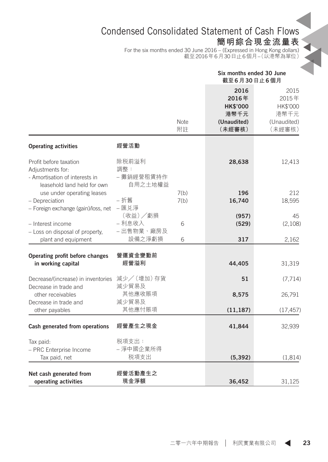# Condensed Consolidated Statement of Cash Flows

**簡明綜合現金流量表**

For the six months ended 30 June 2016 – (Expressed in Hong Kong dollars) 截至2016年6月30日止6個月–(以港幣為單位)

|                                                                                                             |                                       |                   | Six months ended 30 June<br>截至6月30日止6個月                           |                                                            |
|-------------------------------------------------------------------------------------------------------------|---------------------------------------|-------------------|-------------------------------------------------------------------|------------------------------------------------------------|
|                                                                                                             |                                       | <b>Note</b><br>附註 | 2016<br>2016年<br><b>HK\$'000</b><br>港幣千元<br>(Unaudited)<br>(未經審核) | 2015<br>2015年<br>HK\$'000<br>港幣千元<br>(Unaudited)<br>(未經審核) |
| <b>Operating activities</b>                                                                                 | 經營活動                                  |                   |                                                                   |                                                            |
| Profit before taxation<br>Adjustments for:<br>- Amortisation of interests in<br>leasehold land held for own | 除税前溢利<br>調整:<br>- 攤銷經營租賃持作<br>自用之土地權益 |                   | 28,638                                                            | 12,413                                                     |
| use under operating leases<br>- Depreciation<br>- Foreign exchange (gain)/loss, net                         | - 折舊<br>-匯兑淨                          | 7(b)<br>7(b)      | 196<br>16,740                                                     | 212<br>18,595                                              |
| - Interest income                                                                                           | (收益)/虧損<br>- 利息收入<br>- 出售物業、廠房及       | 6                 | (957)<br>(529)                                                    | 45<br>(2,108)                                              |
| - Loss on disposal of property,<br>plant and equipment                                                      | 設備之淨虧損                                | 6                 | 317                                                               | 2,162                                                      |
| Operating profit before changes<br>in working capital                                                       | 營運資金變動前<br>經營溢利                       |                   | 44,405                                                            | 31,319                                                     |
| Decrease/(increase) in inventories                                                                          | 減少/(增加)存貨<br>減少貿易及                    |                   | 51                                                                | (7, 714)                                                   |
| Decrease in trade and<br>other receivables<br>Decrease in trade and                                         | 其他應收賬項<br>減少貿易及                       |                   | 8,575                                                             | 26,791                                                     |
| other payables                                                                                              | 其他應付賬項                                |                   | (11, 187)                                                         | (17, 457)                                                  |
| Cash generated from operations                                                                              | 經營產生之現金                               |                   | 41,844                                                            | 32,939                                                     |
| Tax paid:<br>- PRC Enterprise Income<br>Tax paid, net                                                       | 税項支出:<br>- 淨中國企業所得<br>税項支出            |                   | (5, 392)                                                          | (1,814)                                                    |
| Net cash generated from<br>operating activities                                                             | 經營活動產生之<br>現金淨額                       |                   | 36,452                                                            | 31,125                                                     |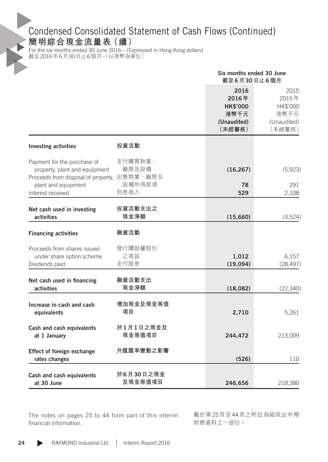# Condensed Consolidated Statement of Cash Flows (Continued)

**簡明綜合現金流量表(續)**

For the six months ended 30 June 2016 – (Expressed in Hong Kong dollars) 截至2016年6月30日止6個月–(以港幣為單位)

|                                                                                                                            |                                        | Six months ended 30 June<br>截至6月30日止6個月                           |                                                            |
|----------------------------------------------------------------------------------------------------------------------------|----------------------------------------|-------------------------------------------------------------------|------------------------------------------------------------|
|                                                                                                                            |                                        | 2016<br>2016年<br><b>HK\$'000</b><br>港幣千元<br>(Unaudited)<br>(未經審核) | 2015<br>2015年<br>HK\$'000<br>港幣千元<br>(Unaudited)<br>(未經審核) |
| <b>Investing activities</b>                                                                                                | 投資活動                                   |                                                                   |                                                            |
| Payment for the purchase of<br>property, plant and equipment<br>Proceeds from disposal of property,<br>plant and equipment | 支付購買物業、<br>廠房及設備<br>出售物業、廠房及<br>設備所得款項 | (16, 267)<br>78                                                   | (5,923)<br>291                                             |
| Interest received                                                                                                          | 利息收入                                   | 529                                                               | 2,108                                                      |
| Net cash used in investing<br>activities                                                                                   | 投資活動支出之<br>現金淨額                        | (15,660)                                                          | (3,524)                                                    |
| <b>Financing activities</b>                                                                                                | 融資活動                                   |                                                                   |                                                            |
| Proceeds from shares issued<br>under share option scheme<br>Dividends paid                                                 | 發行購股權股份<br>之收益<br>支付股息                 | 1,012<br>(19,094)                                                 | 6,157<br>(28, 497)                                         |
| Net cash used in financing<br>activities                                                                                   | 融資活動支出<br>現金淨額                         | (18,082)                                                          | (22, 340)                                                  |
| Increase in cash and cash<br>equivalents                                                                                   | 增加現金及現金等值<br>項目                        | 2,710                                                             | 5,261                                                      |
| Cash and cash equivalents<br>at 1 January                                                                                  | 於1月1日之現金及<br>現金等值項目                    | 244,472                                                           | 213,009                                                    |
| Effect of foreign exchange<br>rates changes                                                                                | 外匯匯率變動之影響                              | (526)                                                             | 110                                                        |
| Cash and cash equivalents<br>at 30 June                                                                                    | 於6月30日之現金<br>及現金等值項目                   | 246,656                                                           | 218,380                                                    |

The notes on pages 25 to 44 form part of this interim financial information.

載於第25頁至44頁之附註為組成此中期 財務資料之一部份。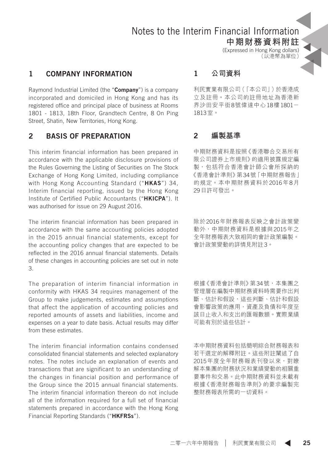# Notes to the Interim Financial Information

**中期財務資料附註**

(Expressed in Hong Kong dollars) (以港幣為單位)

### 1 COMPANY INFORMATION

Raymond Industrial Limited (the "Company") is a company incorporated and domiciled in Hong Kong and has its registered office and principal place of business at Rooms 1801 - 1813, 18th Floor, Grandtech Centre, 8 On Ping Street, Shatin, New Territories, Hong Kong.

#### 2 BASIS OF PREPARATION

This interim financial information has been prepared in accordance with the applicable disclosure provisions of the Rules Governing the Listing of Securities on The Stock Exchange of Hong Kong Limited, including compliance with Hong Kong Accounting Standard ("HKAS") 34. Interim financial reporting, issued by the Hong Kong Institute of Certified Public Accountants ("HKICPA"). It was authorised for issue on 29 August 2016.

The interim financial information has been prepared in accordance with the same accounting policies adopted in the 2015 annual financial statements, except for the accounting policy changes that are expected to be reflected in the 2016 annual financial statements. Details of these changes in accounting policies are set out in note 3.

The preparation of interim financial information in conformity with HKAS 34 requires management of the Group to make judgements, estimates and assumptions that affect the application of accounting policies and reported amounts of assets and liabilities, income and expenses on a year to date basis. Actual results may differ from these estimates.

The interim financial information contains condensed consolidated financial statements and selected explanatory notes. The notes include an explanation of events and transactions that are significant to an understanding of the changes in financial position and performance of the Group since the 2015 annual financial statements. The interim financial information thereon do not include all of the information required for a full set of financial statements prepared in accordance with the Hong Kong Financial Reporting Standards ("HKFRSs").

#### 1 **公司資料**

利民實業有限公司(「本公司」)於香港成 立及註冊。本公司的註冊地址為香港新 界沙田安平街8號偉達中心18樓1801- 1813室。

#### 2 **編製基準**

中期財務資料是按照《香港聯合交易所有 限公司證券上市規則》的適用披露規定編 製,包括符合香港會計師公會所採納的 《香港會計準則》第34號「中期財務報告」 的規定。本中期財務資料於2016年8月 29日許可發出。

除於2016年財務報表反映之會計政策變 動外,中期財務資料是根據與2015年之 全年財務報表大致相同的會計政策編製。 會計政策變動的詳情見附註3。

根據《香港會計準則》 第34號, 本集團之 管理層在編製中期財務資料時需要作出判 斷、估計和假設,這些判斷、估計和假設 會影響政策的應用、資產及負債和年度至 該日止收入和支出的匯報數額。實際業績 可能有別於這些估計。

本中期財務資料包括簡明綜合財務報表和 若干選定的解釋附註。這些附註闡述了自 2015年度全年財務報表刊發以來,對瞭 解本集團的財務狀況和業績變動的相關重 要事件和交易。此中期財務資料並未載有 根據《香港財務報告準則》的要求編製完 整財務報表所需的一切資料。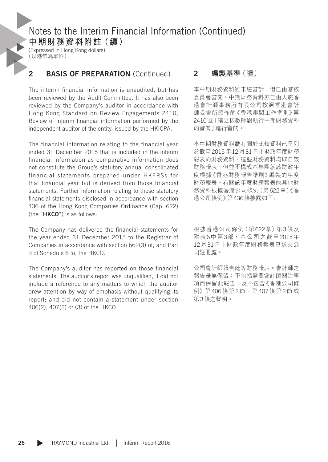(Expressed in Hong Kong dollars) (以港幣為單位)

### 2 BASIS OF PREPARATION (Continued)

The interim financial information is unaudited, but has been reviewed by the Audit Committee. It has also been reviewed by the Company's auditor in accordance with Hong Kong Standard on Review Engagements 2410, Review of interim financial information performed by the independent auditor of the entity, issued by the HKICPA.

The financial information relating to the financial year ended 31 December 2015 that is included in the interim financial information as comparative information does not constitute the Group's statutory annual consolidated financial statements prepared under HKFRSs for that financial year but is derived from those financial statements. Further information relating to these statutory financial statements disclosed in accordance with section 436 of the Hong Kong Companies Ordinance (Cap. 622) (the "HKCO") is as follows:

The Company has delivered the financial statements for the year ended 31 December 2015 to the Registrar of Companies in accordance with section 662(3) of, and Part 3 of Schedule 6 to, the HKCO.

The Company's auditor has reported on those financial statements. The auditor's report was unqualified, it did not include a reference to any matters to which the auditor drew attention by way of emphasis without qualifying its report; and did not contain a statement under section 406(2), 407(2) or (3) of the HKCO.

#### 2 **編製基準**(續)

本中期財務資料雖未經審計,但已由審核 委員會審閱。中期財務資料亦已由天職香 港會計師事務所有限公司按照香港會計 師公會所頒佈的《香港審閱工作準則》第 2410號「獨立核數師對執行中期財務資料 的審閱」進行審閱。

本中期財務資料載有關於比較資料已呈列 於截至2015年12月31日止財政年度財務 報表的財務資料,這些財務資料均取自該 財務報表,但並不構成本集團就該財政年 度根據《香港財務報告準則》編製的年度 財務報表。有關該年度財務報表的其他財 務資料根據香港公司條例(第622章)《香 港公司條例》第436條披露如下:

根據香港公司條例(第622章)第3條及 附表6中第3部,本公司之截至2015年 12月31日止財政年度財務報表已送交公 司註冊處。

公司會計師報告此等財務報表。會計師之 報告是無保留;不包括需要會計師關注事 項而保留此報告;及不包含《香港公司條 例》第406條 第2節、 第407條 第2節 或 第3條之聲明。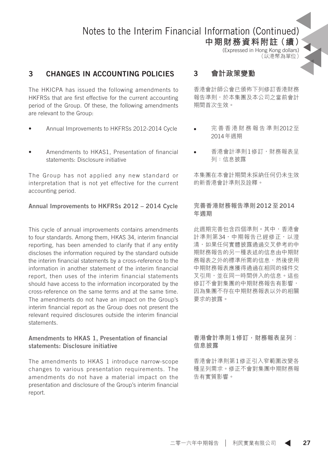**中期財務資料附註(續)**

(Expressed in Hong Kong dollars) (以港幣為單位)

### 3 CHANGES IN ACCOUNTING POLICIES

The HKICPA has issued the following amendments to HKFRSs that are first effective for the current accounting period of the Group. Of these, the following amendments are relevant to the Group:

- Annual Improvements to HKFRSs 2012-2014 Cycle
- Amendments to HKAS1, Presentation of financial statements: Disclosure initiative

The Group has not applied any new standard or interpretation that is not yet effective for the current accounting period.

#### Annual Improvements to HKFRSs 2012 – 2014 Cycle

This cycle of annual improvements contains amendments to four standards. Among them, HKAS 34, interim financial reporting, has been amended to clarify that if any entity discloses the information required by the standard outside the interim financial statements by a cross-reference to the information in another statement of the interim financial report, then uses of the interim financial statements should have access to the information incorporated by the cross-reference on the same terms and at the same time. The amendments do not have an impact on the Group's interim financial report as the Group does not present the relevant required disclosures outside the interim financial statements.

#### Amendments to HKAS 1, Presentation of financial statements: Disclosure initiative

The amendments to HKAS 1 introduce narrow-scope changes to various presentation requirements. The amendments do not have a material impact on the presentation and disclosure of the Group's interim financial report.

#### 3 **會計政策變動**

香港會計師公會已頒佈下列修訂香港財務 報告準則,於本集團及本公司之當前會計 期間首次生效。

- • 完 善 香 港 財 務 報 告 準 則2012至 2014年週期
- 香港會計進則1修訂,財務報表呈 列:信息披露

本集團在本會計期間未採納任何仍未生效 的新香港會計準則及詮釋。

#### **完善香港財務報告準則**2012**至**2014 **年週期**

此週期完善包含四個準則。其中,香港會 計準則第34,中期報告已經修正,以澄 清,如果任何實體披露通過交叉參考的中 期財務報告的另一種表述的信息由中期財 務報表之外的標準所需的信息,然後使用 中期財務報表應獲得通過在相同的條件交 叉引用,並在同一時間併入的信息。這些 修訂不會對集團的中期財務報告有影響, 因為集團不存在中期財務報表以外的相關 要求的披露。

**香港會計準則**1**修訂,財務報表呈列: 信息披露**

香港會計準則第1修正引入窄範圍改變各 種呈列需求。修正不會對集團中期財務報 告有實質影響。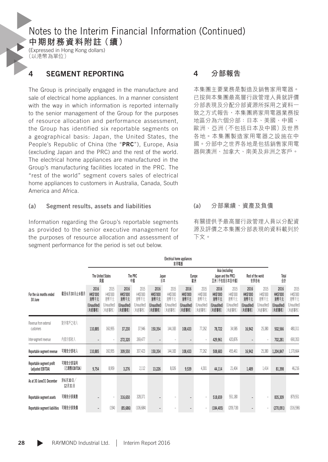**中期財務資料附註(續)**

(Expressed in Hong Kong dollars) (以港幣為單位)

### 4 SEGMENT REPORTING

The Group is principally engaged in the manufacture and sale of electrical home appliances. In a manner consistent with the way in which information is reported internally to the senior management of the Group for the purposes of resource allocation and performance assessment, the Group has identified six reportable segments on a geographical basis: Japan, the United States, the People's Republic of China (the "PRC"). Europe, Asia (excluding Japan and the PRC) and the rest of the world. The electrical home appliances are manufactured in the Group's manufacturing facilities located in the PRC. The "rest of the world" segment covers sales of electrical home appliances to customers in Australia, Canada, South America and Africa.

#### (a) Segment results, assets and liabilities

Information regarding the Group's reportable segments as provided to the senior executive management for the purposes of resource allocation and assessment of segment performance for the period is set out below.

#### 4 **分部報告**

本集團主要業務是製造及銷售家用電器。 已按與本集團最高層行政管理人員就評價 分部表現及分配分部資源所採用之資料一 致之方式報告,本集團將家用電器業務按 地區分為六個分部:日本、美國、中國、 歐洲、亞洲(不包括日本及中國)及世界 各地。本集團製造家用電器之設施在中 國。分部中之世界各地是包括銷售家用電 器與澳洲、加拿大、南美及非洲之客戶。

#### (a) **分部業績、資產及負債**

有關提供予最高層行政管理人員以分配資 源及評價之本集團分部表現的資料載列於 下文。

|                                                |                         | Electrical nome appliances<br>家用電器                       |                                                          |                                                          |                                                   |                                                         |                                                   |                                                          |                                                   |                                                          |                                                          |                                                          |                                                   |                                                          |                                                  |
|------------------------------------------------|-------------------------|----------------------------------------------------------|----------------------------------------------------------|----------------------------------------------------------|---------------------------------------------------|---------------------------------------------------------|---------------------------------------------------|----------------------------------------------------------|---------------------------------------------------|----------------------------------------------------------|----------------------------------------------------------|----------------------------------------------------------|---------------------------------------------------|----------------------------------------------------------|--------------------------------------------------|
|                                                |                         |                                                          | The United States<br>譝                                   |                                                          | The PRC<br>中國                                     |                                                         | Japan<br>麻                                        |                                                          | Europe<br>歐洲                                      |                                                          | Asia (excluding<br>Japan and the PRC)<br>亞洲(不包括日本及中國)    |                                                          | Rest of the world<br>世界各地                         | Total<br>솲                                               |                                                  |
| For the six months ended<br>30 June            | 截至6月30日止6個月             | 2016<br><b>HK\$'000</b><br>港幣千元<br>(Unaudited)<br>(未經審核) | 2015<br><b>HK\$'000</b><br>港幣千元<br>(Unaudited)<br>(未經審核) | 2016<br><b>HK\$'000</b><br>港幣千元<br>(Unaudited)<br>(未經審核) | 2015<br>HK\$'000<br>港幣千元<br>(Unaudited)<br>(未經審核) | 2016<br><b>HK\$'000</b><br>灣千元<br>(Unaudited)<br>(未經審核) | 2015<br>HK\$'000<br>港幣千元<br>(Unaudited)<br>(未經審核) | 2016<br><b>HK\$'000</b><br>港幣千元<br>(Unaudited)<br>(未經審核) | 2015<br>HK\$'000<br>港幣千元<br>(Unaudited)<br>(未經審核) | 2016<br><b>HK\$'000</b><br>港幣千元<br>(Unaudited)<br>(未經審核) | 2015<br><b>HK\$'000</b><br>潜解千元<br>(Unaudited)<br>(未經審核) | 2016<br><b>HK\$'000</b><br>港幣千元<br>(Unaudited)<br>(未經審核) | 2015<br>HK\$'000<br>潜幣千元<br>(Unaudited)<br>(未經審核) | 2016<br><b>HK\$'000</b><br>港幣千元<br>(Unaudited)<br>(未經審核) | 2015<br>HK\$'000<br>满落千元<br>Unaudited)<br>(未經審核) |
| Revenue from external<br>customers             | 對外客戶之收入                 | 110,885                                                  | 160,955                                                  | 37.230                                                   | 37,946                                            | 150,354                                                 | 144,183                                           | 108.433                                                  | 77,262                                            | 78.722                                                   | 34,585                                                   | 16.942                                                   | 25,380                                            | 502,566                                                  | 480,311                                          |
| Inter-segment revenue                          | 内部分部收入                  | $\overline{\phantom{m}}$                                 | ٠                                                        | 272.320                                                  | 269,477                                           | $\overline{\phantom{a}}$                                | $\overline{a}$                                    | $\overline{\phantom{a}}$                                 |                                                   | 429.961                                                  | 420,876                                                  | $\overline{\phantom{a}}$                                 |                                                   | 702.281                                                  | 690,353                                          |
| Reportable segment revenue                     | 可報告分部收入                 | 110.885                                                  | 160,955                                                  | 309.550                                                  | 307.423                                           | 150.354                                                 | 144,183                                           | 108.433                                                  | 77,262                                            | 508,683                                                  | 455,461                                                  | 16.942                                                   | 25,380                                            | 1,204,847                                                | 1,170,664                                        |
| Reportable segment profit<br>(adjusted EBITDA) | 可報告分部溢利<br>(已調整 EBITDA) | 9,754                                                    | 8,959                                                    | 3.276                                                    | 2,112                                             | 13.226                                                  | 8,026                                             | 9.539                                                    | 4,301                                             | 44.114                                                   | 21,404                                                   | 1.489                                                    | 1,414                                             | 81.398                                                   | 46,216                                           |
| As at 30 June/31 December                      | 於6月30日/<br>12月31日       |                                                          |                                                          |                                                          |                                                   |                                                         |                                                   |                                                          |                                                   |                                                          |                                                          |                                                          |                                                   |                                                          |                                                  |
| Reportable segment assets                      | 可報告分部資產                 |                                                          | i,                                                       | 316,650                                                  | 328,371                                           |                                                         |                                                   | $\overline{\phantom{a}}$                                 |                                                   | 518,659                                                  | 551,180                                                  |                                                          |                                                   | 835,309                                                  | 879,551                                          |
| Reportable segment liabilities                 | 可報告分部負債                 | $\overline{\phantom{m}}$                                 | (194)                                                    | (85, 686)                                                | (106, 684)                                        | $\overline{a}$                                          | ٠                                                 | $\overline{\phantom{a}}$                                 |                                                   | (184, 405)                                               | (209, 718)                                               | $\overline{\phantom{0}}$                                 |                                                   | (270,091)                                                | (316,596)                                        |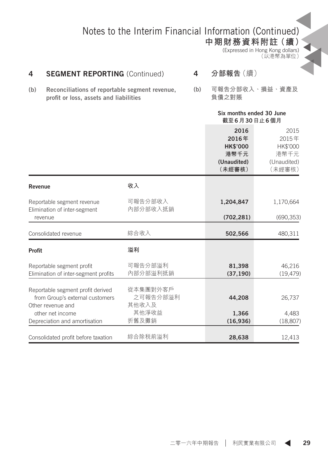**中期財務資料附註(續)** (Expressed in Hong Kong dollars) (以港幣為單位)

### 4 **SEGMENT REPORTING** (Continued)

- (b) Reconciliations of reportable segment revenue, profit or loss, assets and liabilities
- 4 **分部報告**(續)
- (b) **可報告分部收入、損益、資產及 負債之對賬**

|                                                                                           |                               | Six months ended 30 June<br>截至6月30日止6個月                           |                                                            |
|-------------------------------------------------------------------------------------------|-------------------------------|-------------------------------------------------------------------|------------------------------------------------------------|
|                                                                                           |                               | 2016<br>2016年<br><b>HK\$'000</b><br>港幣千元<br>(Unaudited)<br>(未經審核) | 2015<br>2015年<br>HK\$'000<br>港幣千元<br>(Unaudited)<br>(未經審核) |
| Revenue                                                                                   | 收入                            |                                                                   |                                                            |
| Reportable segment revenue<br>Elimination of inter-segment                                | 可報告分部收入<br>內部分部收入抵銷           | 1,204,847                                                         | 1,170,664                                                  |
| revenue                                                                                   |                               | (702, 281)                                                        | (690, 353)                                                 |
| Consolidated revenue                                                                      | 綜合收入                          | 502,566                                                           | 480,311                                                    |
| Profit                                                                                    | 溢利                            |                                                                   |                                                            |
| Reportable segment profit<br>Elimination of inter-segment profits                         | 可報告分部溢利<br>內部分部溢利抵銷           | 81,398<br>(37, 190)                                               | 46,216<br>(19, 479)                                        |
| Reportable segment profit derived<br>from Group's external customers<br>Other revenue and | 從本集團對外客戶<br>之可報告分部溢利<br>其他收入及 | 44,208                                                            | 26,737                                                     |
| other net income                                                                          | 其他淨收益                         | 1,366                                                             | 4,483                                                      |
| Depreciation and amortisation                                                             | 折舊及攤銷                         | (16,936)                                                          | (18, 807)                                                  |
| Consolidated profit before taxation                                                       | 綜合除税前溢利                       | 28,638                                                            | 12,413                                                     |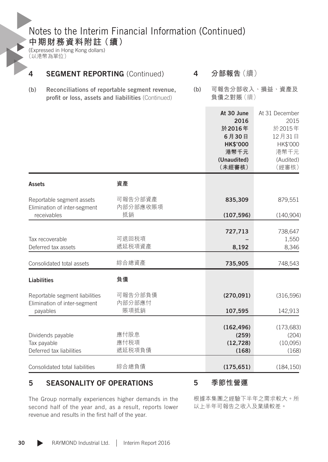**中期財務資料附註(續)**

(Expressed in Hong Kong dollars) (以港幣為單位)

| 4                  | <b>SEGMENT REPORTING (Continued)</b>                           | 分部報告(續)                                                                                              |     |                                                                                           |                                                                                      |
|--------------------|----------------------------------------------------------------|------------------------------------------------------------------------------------------------------|-----|-------------------------------------------------------------------------------------------|--------------------------------------------------------------------------------------|
| (b)                |                                                                | Reconciliations of reportable segment revenue,<br>profit or loss, assets and liabilities (Continued) | (b) | 負債之對賬(續)                                                                                  | 可報告分部收入、損益、資產及                                                                       |
|                    |                                                                |                                                                                                      |     | At 30 June<br>2016<br>於2016年<br>6月30日<br><b>HK\$'000</b><br>港幣千元<br>(Unaudited)<br>(未經審核) | At 31 December<br>2015<br>於2015年<br>12月31日<br>HK\$'000<br>港幣千元<br>(Audited)<br>(經審核) |
| Assets             |                                                                | 資產                                                                                                   |     |                                                                                           |                                                                                      |
|                    | Reportable segment assets<br>Elimination of inter-segment      | 可報告分部資產<br>內部分部應收賬項                                                                                  |     | 835,309                                                                                   | 879,551                                                                              |
|                    | receivables                                                    | 抵銷                                                                                                   |     | (107, 596)                                                                                | (140,904)                                                                            |
|                    | Tax recoverable                                                | 可退回税項                                                                                                |     | 727,713                                                                                   | 738,647<br>1,550                                                                     |
|                    | Deferred tax assets                                            | 遞延税項資產                                                                                               |     | 8,192                                                                                     | 8,346                                                                                |
|                    | Consolidated total assets                                      | 綜合總資產                                                                                                |     | 735,905                                                                                   | 748,543                                                                              |
| <b>Liabilities</b> |                                                                | 負債                                                                                                   |     |                                                                                           |                                                                                      |
|                    | Reportable segment liabilities<br>Elimination of inter-segment | 可報告分部負債<br>內部分部應付                                                                                    |     | (270, 091)                                                                                | (316,596)                                                                            |
|                    | payables                                                       | 賬項抵銷                                                                                                 |     | 107,595                                                                                   | 142,913                                                                              |
|                    | Dividends payable<br>Tax payable<br>Deferred tax liabilities   | 應付股息<br>應付税項<br>遞延税項負債                                                                               |     | (162, 496)<br>(259)<br>(12, 728)                                                          | (173, 683)<br>(204)<br>(10,095)                                                      |
|                    |                                                                |                                                                                                      |     | (168)                                                                                     | (168)                                                                                |
|                    | Consolidated total liabilities                                 | 綜合總負債                                                                                                |     | (175, 651)                                                                                | (184, 150)                                                                           |

### 5 SEASONALITY OF OPERATIONS

5 **季節性營運**

The Group normally experiences higher demands in the second half of the year and, as a result, reports lower revenue and results in the first half of the year.

根據本集團之經驗下半年之需求較大。所 以上半年可報告之收入及業績較差。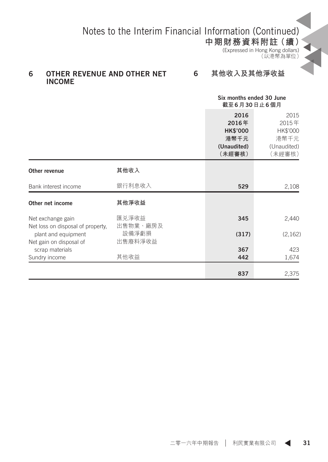**中期財務資料附註(續)**

(Expressed in Hong Kong dollars) (以港幣為單位)

#### 6 OTHER REVENUE AND OTHER NET INCOME

#### 6 **其他收入及其他淨收益**

| Six months ended 30 June |
|--------------------------|
| 截至6月30日止6個月              |

|                                                        |                   | 2016<br>2016年<br><b>HK\$'000</b><br>港幣千元<br>(Unaudited)<br>(未經審核) | 2015<br>2015年<br>HK\$'000<br>港幣千元<br>(Unaudited)<br>(未經審核) |
|--------------------------------------------------------|-------------------|-------------------------------------------------------------------|------------------------------------------------------------|
| Other revenue                                          | 其他收入              |                                                                   |                                                            |
| Bank interest income                                   | 銀行利息收入            | 529                                                               | 2,108                                                      |
| Other net income                                       | 其他淨收益             |                                                                   |                                                            |
| Net exchange gain<br>Net loss on disposal of property, | 匯兑淨收益<br>出售物業、廠房及 | 345                                                               | 2,440                                                      |
| plant and equipment<br>Net gain on disposal of         | 設備淨虧損<br>出售廢料淨收益  | (317)                                                             | (2,162)                                                    |
| scrap materials                                        |                   | 367                                                               | 423                                                        |
| Sundry income                                          | 其他收益              | 442                                                               | 1,674                                                      |
|                                                        |                   | 837                                                               | 2,375                                                      |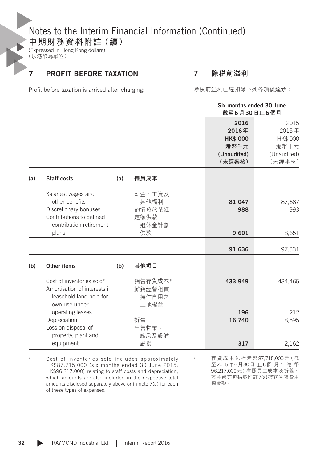**中期財務資料附註(續)**

(Expressed in Hong Kong dollars) (以港幣為單位)

### 7 PROFIT BEFORE TAXATION

7 **除稅前溢利**

Profit before taxation is arrived after charging:

除稅前溢利已經扣除下列各項後達致:

|     |                                                                                                                       |     |                                           | Six months ended 30 June<br>截至6月30日止6個月                           |                                                            |
|-----|-----------------------------------------------------------------------------------------------------------------------|-----|-------------------------------------------|-------------------------------------------------------------------|------------------------------------------------------------|
|     |                                                                                                                       |     |                                           | 2016<br>2016年<br><b>HK\$'000</b><br>港幣千元<br>(Unaudited)<br>(未經審核) | 2015<br>2015年<br>HK\$'000<br>港幣千元<br>(Unaudited)<br>(未經審核) |
| (a) | <b>Staff costs</b>                                                                                                    | (a) | 僱員成本                                      |                                                                   |                                                            |
|     | Salaries, wages and<br>other benefits<br>Discretionary bonuses<br>Contributions to defined<br>contribution retirement |     | 薪金、工資及<br>其他福利<br>酌情發放花紅<br>定額供款<br>退休金計劃 | 81,047<br>988                                                     | 87,687<br>993                                              |
|     | plans                                                                                                                 |     | 供款                                        | 9,601                                                             | 8,651                                                      |
|     |                                                                                                                       |     |                                           | 91,636                                                            | 97,331                                                     |
| (b) | Other items                                                                                                           | (b) | 其他項目                                      |                                                                   |                                                            |
|     | Cost of inventories sold#<br>Amortisation of interests in<br>leasehold land held for<br>own use under                 |     | 銷售存貨成本#<br>攤銷經營租賃<br>持作自用之<br>土地權益        | 433,949                                                           | 434,465                                                    |
|     | operating leases<br>Depreciation                                                                                      |     | 折舊                                        | 196<br>16,740                                                     | 212<br>18,595                                              |
|     | Loss on disposal of<br>property, plant and<br>equipment                                                               |     | 出售物業、<br>廠房及設備<br>虧損                      | 317                                                               | 2,162                                                      |

# Cost of inventories sold includes approximately HK\$87,715,000 (six months ended 30 June 2015: HK\$96,217,000) relating to staff costs and depreciation, which amounts are also included in the respective total amounts disclosed separately above or in note 7(a) for each of these types of expenses.

# 存 貨 成 本 包 括 港 幣87,715,000元( 截 至2015年6月30日 止6個 月: 港 幣 96,217,000元)有關員工成本及折舊, 該金額亦包括於附註7(a)披露各項費用 總金額。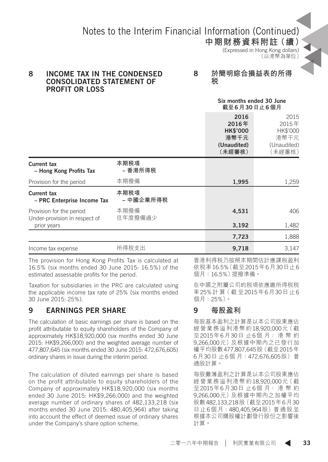**中期財務資料附註(續)** (Expressed in Hong Kong dollars)

### (以港幣為單位)

#### 8 INCOME TAX IN THE CONDENSED CONSOLIDATED STATEMENT OF PROFIT OR LOSS

8 **於簡明綜合損益表的所得 稅**

|                                                           |                      |                                                                   | Six months ended 30 June<br>截至6月30日止6個月                    |
|-----------------------------------------------------------|----------------------|-------------------------------------------------------------------|------------------------------------------------------------|
|                                                           |                      | 2016<br>2016年<br><b>HK\$'000</b><br>港幣千元<br>(Unaudited)<br>(未經審核) | 2015<br>2015年<br>HK\$'000<br>港幣千元<br>(Unaudited)<br>〔未經審核〕 |
| Current tax<br>- Hong Kong Profits Tax                    | 本期税項<br>– 香港所得税      |                                                                   |                                                            |
| Provision for the period                                  | 本期撥備                 | 1,995                                                             | 1,259                                                      |
| Current tax<br>- PRC Enterprise Income Tax                | 本期税項<br>– 中國企業所得税    |                                                                   |                                                            |
| Provision for the period<br>Under-provision in respect of | 本期撥備<br>往年度撥備過少      | 4,531                                                             | 406                                                        |
| prior years                                               |                      | 3,192                                                             | 1,482                                                      |
|                                                           |                      | 7,723                                                             | 1,888                                                      |
| Income tax expense                                        | 所得税支出                | 9,718                                                             | 3,147                                                      |
| $-1$                                                      | $\sim$ $\sim$ $\sim$ |                                                                   |                                                            |

The provision for Hong Kong Profits Tax is calculated at 16.5% (six months ended 30 June 2015: 16.5%) of the estimated assessable profits for the period.

Taxation for subsidiaries in the PRC are calculated using the applicable income tax rate of 25% (six months ended 30 June 2015: 25%).

### 9 EARNINGS PER SHARE

The calculation of basic earnings per share is based on the profit attributable to equity shareholders of the Company of approximately HK\$18,920,000 (six months ended 30 June 2015: HK\$9,266,000) and the weighted average number of 477,807,645 (six months ended 30 June 2015: 472,676,605) ordinary shares in issue during the interim period.

The calculation of diluted earnings per share is based on the profit attributable to equity shareholders of the Company of approximately HK\$18,920,000 (six months ended 30 June 2015: HK\$9,266,000) and the weighted average number of ordinary shares of 482,133,218 (six months ended 30 June 2015: 480,405,964) after taking into account the effect of deemed issue of ordinary shares under the Company's share option scheme.

香港利得稅乃按照本期間估計應課稅盈利 依稅率16.5%(截至2015年6月30日止6 個月:16.5%)提撥準備。

在中國之附屬公司的稅項依應繳所得稅稅 率25%計 算( 截 至2015年6月30日 止6 個月:25%)。

### 9 **每股盈利**

每股基本盈利之計算是以本公司股東應佔 經營業務溢利港幣約18,920,000元(截 至2015年6月30日 止6個 月: 港 幣 約 9,266,000元)及根據中期內之已發行加 權平均股數477,807,645股(截至2015年 6月30日 止6個 月:472,676,605股)普 通股計算。

每股攤薄盈利之計算是以本公司股東應佔 經營業務溢利港幣約18,920,000元(截 至2015年6月30日 止6個 月: 港 幣 約 9,266,000元)及根據中期內之加權平均 股數482,133,218股(截至2015年6月30 日止6個月:480,405,964股)普通股並 根據本公司購股權計劃發行股份之影響後 計算。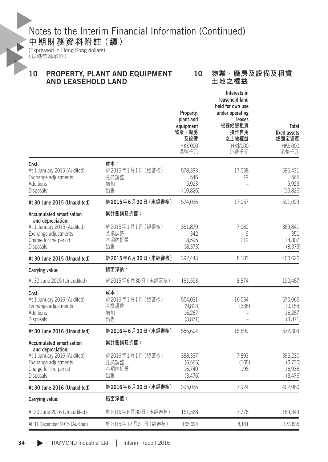### **中期財務資料附註(續)**

(Expressed in Hong Kong dollars) (以港幣為單位)

#### 10 PROPERTY, PLANT AND EQUIPMENT AND LEASEHOLD LAND

#### 10 **物業、廠房及設備及租賃 土地之權益**

|                                                                                                                                                   |                                                     | Property,<br>plant and<br>equipment<br>物業、廠房<br>及設備<br>HK\$'000<br>港幣千元 | Interests in<br>leasehold land<br>held for own use<br>under operating<br>leases<br>根據經營租賃<br>持作自用<br>之土地權益<br>HK\$'000<br>港幣千元 | Total<br>fixed assets<br>總固定資產<br>HK\$'000<br>港幣千元 |
|---------------------------------------------------------------------------------------------------------------------------------------------------|-----------------------------------------------------|-------------------------------------------------------------------------|--------------------------------------------------------------------------------------------------------------------------------|----------------------------------------------------|
| Cost:<br>At 1 January 2015 (Audited)<br>Exchange adjustments<br>Additions<br>Disposals                                                            | 成本:<br>於2015年1月1日 (經審核)<br>兑换調整<br>增加<br>出售         | 578,393<br>546<br>5,923<br>(10, 826)                                    | 17,038<br>19                                                                                                                   | 595.431<br>565<br>5,923<br>(10, 826)               |
| At 30 June 2015 (Unaudited)                                                                                                                       | 於2015年6月30日 (未經審核)                                  | 574,036                                                                 | 17,057                                                                                                                         | 591,093                                            |
| <b>Accumulated amortisation</b><br>and depreciation:<br>At 1 January 2015 (Audited)<br>Exchange adjustments<br>Charge for the period<br>Disposals | 累計攤銷及折舊:<br>於2015年1月1日 (經審核)<br>兑换調整<br>本期內折舊<br>出售 | 381,879<br>342<br>18,595<br>(8,373)                                     | 7,962<br>9<br>212                                                                                                              | 389,841<br>351<br>18,807<br>(8,373)                |
| At 30 June 2015 (Unaudited)                                                                                                                       | 於2015年6月30日 (未經審核)                                  | 392,443                                                                 | 8,183                                                                                                                          | 400,626                                            |
| Carrying value:                                                                                                                                   | 賬面淨值:                                               |                                                                         |                                                                                                                                |                                                    |
| At 30 June 2015 (Unaudited)                                                                                                                       | 於2015年6月30日(未經審核)                                   | 181,593                                                                 | 8,874                                                                                                                          | 190,467                                            |
| Cost:<br>At 1 January 2016 (Audited)<br>Exchange adjustments<br>Additions<br>Disposals                                                            | 成本:<br>於2016年1月1日 (經審核)<br>兑換調整<br>增加<br>出售         | 554,031<br>(9,823)<br>16,267<br>(3,871)                                 | 16,034<br>(335)<br>÷,                                                                                                          | 570,065<br>(10, 158)<br>16,267<br>(3,871)          |
| At 30 June 2016 (Unaudited)                                                                                                                       | 於2016年6月30日 (未經審核)                                  | 556,604                                                                 | 15,699                                                                                                                         | 572,303                                            |
| <b>Accumulated amortisation</b><br>and depreciation:<br>At 1 January 2016 (Audited)<br>Exchange adjustments<br>Charge for the period<br>Disposals | 累計攤銷及折舊:<br>於2016年1月1日 (經審核)<br>兑换調整<br>本期內折舊<br>出售 | 388,337<br>(6, 565)<br>16,740<br>(3,476)                                | 7,893<br>(165)<br>196                                                                                                          | 396,230<br>(6,730)<br>16,936<br>(3,476)            |
| At 30 June 2016 (Unaudited)                                                                                                                       | 於2016年6月30日 (未經審核)                                  | 395,036                                                                 | 7,924                                                                                                                          | 402,960                                            |
| Carrying value:                                                                                                                                   | 賬面淨值:                                               |                                                                         |                                                                                                                                |                                                    |
| At 30 June 2016 (Unaudited)                                                                                                                       | 於2016年6月30日 (未經審核)                                  | 161,568                                                                 | 7,775                                                                                                                          | 169,343                                            |
| At 31 December 2015 (Audited)                                                                                                                     | 於2015年12月31日 (經審核)                                  | 165,694                                                                 | 8,141                                                                                                                          | 173,835                                            |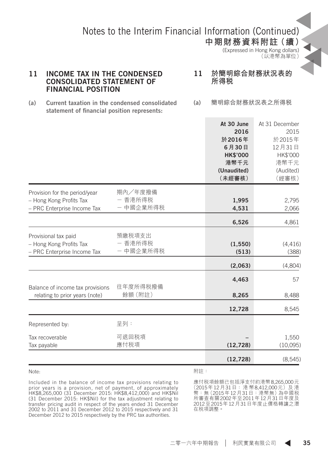**中期財務資料附註(續)** (Expressed in Hong Kong dollars) (以港幣為單位)

#### 11 INCOME TAX IN THE CONDENSED CONSOLIDATED STATEMENT OF FINANCIAL POSITION

11 **於簡明綜合財務狀況表的 所得稅**

- (a) Current taxation in the condensed consolidated statement of financial position represents:
- (a) **簡明綜合財務狀況表之所得稅**

|                                                                                         |                                 | At 30 June<br>2016<br>於2016年<br>6月30日<br><b>HK\$'000</b><br>港幣千元<br>(Unaudited)<br>(未經審核) | At 31 December<br>2015<br>於2015年<br>12月31日<br>HK\$'000<br>港幣千元<br>(Audited)<br>(經審核) |
|-----------------------------------------------------------------------------------------|---------------------------------|-------------------------------------------------------------------------------------------|--------------------------------------------------------------------------------------|
| Provision for the period/year<br>- Hong Kong Profits Tax<br>- PRC Enterprise Income Tax | 期內/年度撥備<br>- 香港所得税<br>- 中國企業所得税 | 1,995<br>4,531                                                                            | 2,795<br>2,066                                                                       |
|                                                                                         |                                 | 6,526                                                                                     | 4,861                                                                                |
| Provisional tax paid<br>- Hong Kong Profits Tax<br>- PRC Enterprise Income Tax          | 預繳税項支出<br>- 香港所得税<br>- 中國企業所得税  | (1, 550)<br>(513)                                                                         | (4,416)<br>(388)                                                                     |
|                                                                                         |                                 | (2,063)                                                                                   | (4,804)                                                                              |
| Balance of income tax provisions<br>relating to prior years (note)                      | 往年度所得税撥備<br>餘額 (附註)             | 4,463<br>8,265                                                                            | 57<br>8,488                                                                          |
|                                                                                         |                                 | 12,728                                                                                    | 8,545                                                                                |
| Represented by:                                                                         | 呈列:                             |                                                                                           |                                                                                      |
| Tax recoverable<br>Tax payable                                                          | 可退回税項<br>應付税項                   | (12, 728)                                                                                 | 1,550<br>(10,095)                                                                    |
|                                                                                         |                                 | (12, 728)                                                                                 | (8,545)                                                                              |

Note:

附註:

Included in the balance of income tax provisions relating to prior years is a provision, net of payment, of approximately HK\$8,265,000 (31 December 2015: HK\$8,412,000) and HK\$Nil (31 December 2015: HK\$Nil) for the tax adjustment relating to transfer pricing audit in respect of the years ended 31 December 2002 to 2011 and 31 December 2012 to 2015 respectively and 31 December 2012 to 2015 respectively by the PRC tax authorities.

應付稅項餘額已包括淨支付約港幣8,265,000元 (2015年12月31日: 港 幣8,412,000元)及 港 幣:無 (2015年12月31日 : 港幣無) 為中國税<br>所審查有關2002年至2011年12月31日年度及 2012至2015年12月31日年度止價格轉讓之潛 在稅項調整。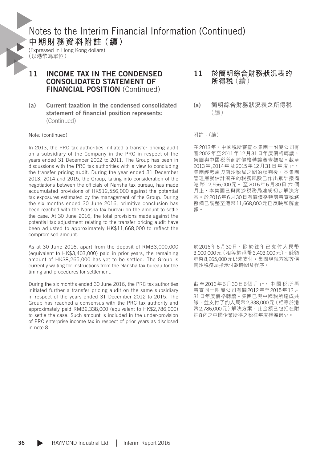(Expressed in Hong Kong dollars) (以港幣為單位)

#### 11 INCOME TAX IN THE CONDENSED CONSOLIDATED STATEMENT OF FINANCIAL POSITION (Continued)

#### (a) Current taxation in the condensed consolidated statement of financial position represents: (Continued)

#### Note: (continued)

In 2013, the PRC tax authorities initiated a transfer pricing audit on a subsidiary of the Company in the PRC in respect of the years ended 31 December 2002 to 2011. The Group has been in discussions with the PRC tax authorities with a view to concluding the transfer pricing audit. During the year ended 31 December 2013, 2014 and 2015, the Group, taking into consideration of the negotiations between the officials of Nansha tax bureau, has made accumulated provisions of HK\$12,556,000 against the potential tax exposures estimated by the management of the Group. During the six months ended 30 June 2016, primitive conclusion has been reached with the Nansha tax bureau on the amount to settle the case. At 30 June 2016, the total provisions made against the potential tax adjustment relating to the transfer pricing audit have been adjusted to approximately HK\$11,668,000 to reflect the compromised amount.

As at 30 June 2016, apart from the deposit of RMB3,000,000 (equivalent to HK\$3,403,000) paid in prior years, the remaining amount of HK\$8,265,000 has yet to be settled. The Group is currently waiting for instructions from the Nansha tax bureau for the timing and procedures for settlement.

During the six months ended 30 June 2016, the PRC tax authorities initiated further a transfer pricing audit on the same subsidiary in respect of the years ended 31 December 2012 to 2015. The Group has reached a consensus with the PRC tax authority and approximately paid RMB2,338,000 (equivalent to HK\$2,786,000) to settle the case. Such amount is included in the under-provision of PRC enterprise income tax in respect of prior years as disclosed in note 8.

- 11 **於簡明綜合財務狀況表的 所得稅**(續)
- (a) **簡明綜合財務狀況表之所得稅** (續)

附註:(續)

在2013年,中國稅所審查本集團一附屬公司有 關2002年至2011年12月31日年度價格轉讓。 集團與中國稅所商討價格轉讓審查觀點。截至 2013年,2014年及2015年12月31日年度止, 集團經考慮與南沙税局之間的談判後,本集團 管理層就估計潛在的稅務風險已作出累計撥備 港 幣12,556,000元。 至2016年6月30日 六 個 月止,本集團已與南沙稅務局達成初步解決方 案。於2016年6月30日有關價格轉讓審查稅務 撥備已調整至港幣11,668,000元已反映和解金 額。

於2016年6月30日,除於往年已支付人民幣 3,000,000元(相等於港幣3,403,000元),餘額 港幣8,265,000元仍未支付。集團現就方案等候 南沙稅務局指示付款時間及程序。

截 至2016年6月30日6個 月 止, 中 國 稅 所 再 審查同一附屬公司有關2012年至2015年12月 31日年度價格轉讓。集團已與中國稅所達成共 識,並支付了約人民幣2,338,000元(相等於港 幣2,786,000元)解決方案。此金額已包括在附 註8內之中國企業所得之稅往年度撥備過少。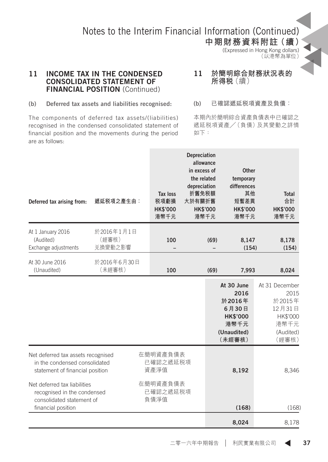**中期財務資料附註(續)** (Expressed in Hong Kong dollars) (以港幣為單位)

#### 11 INCOME TAX IN THE CONDENSED CONSOLIDATED STATEMENT OF **FINANCIAL POSITION (Continued)**

#### 11 **於簡明綜合財務狀況表的 所得稅**(續)

#### (b) Deferred tax assets and liabilities recognised:

The components of deferred tax assets/(liabilities) recognised in the condensed consolidated statement of financial position and the movements during the period are as follows:

#### (b) **已確認遞延稅項資產及負債:**

本期內於簡明綜合資產負債表中已確認之 遞延稅項資產╱(負債)及其變動之詳情 如下:

| Deferred tax arising from:                                                                                     | 遞延税項之產生由:                      | Tax loss<br>税項虧損<br><b>HK\$'000</b><br>港幣千元 | Depreciation<br>allowance<br>in excess of<br>the related<br>depreciation<br>折舊免税額<br>大於有關折舊<br><b>HK\$'000</b><br>港幣千元 |      | Other<br>temporary<br>differences<br>其他<br>短暫差異<br><b>HK\$'000</b><br>港幣千元                | <b>Total</b><br>合計<br><b>HK\$'000</b><br>港幣千元                                        |
|----------------------------------------------------------------------------------------------------------------|--------------------------------|---------------------------------------------|------------------------------------------------------------------------------------------------------------------------|------|-------------------------------------------------------------------------------------------|--------------------------------------------------------------------------------------|
| At 1 January 2016<br>(Audited)<br>Exchange adjustments                                                         | 於2016年1月1日<br>(經審核)<br>兑換變動之影響 | 100                                         |                                                                                                                        | (69) | 8,147<br>(154)                                                                            | 8,178<br>(154)                                                                       |
| At 30 June 2016<br>(Unaudited)                                                                                 | 於2016年6月30日<br>(未經審核)          | 100                                         |                                                                                                                        | (69) | 7,993                                                                                     | 8,024                                                                                |
|                                                                                                                |                                |                                             |                                                                                                                        |      | At 30 June<br>2016<br>於2016年<br>6月30日<br><b>HK\$'000</b><br>港幣千元<br>(Unaudited)<br>(未經審核) | At 31 December<br>2015<br>於2015年<br>12月31日<br>HK\$'000<br>港幣千元<br>(Audited)<br>(經審核) |
| Net deferred tax assets recognised<br>in the condensed consolidated<br>statement of financial position         |                                | 在簡明資產負債表<br>已確認之遞延税項<br>資產淨值                |                                                                                                                        |      | 8,192                                                                                     | 8,346                                                                                |
| Net deferred tax liabilities<br>recognised in the condensed<br>consolidated statement of<br>financial position |                                | 在簡明資產負債表<br>已確認之遞延税項<br>負債淨值                |                                                                                                                        |      | (168)                                                                                     | (168)                                                                                |
|                                                                                                                |                                |                                             |                                                                                                                        |      | 8,024                                                                                     | 8,178                                                                                |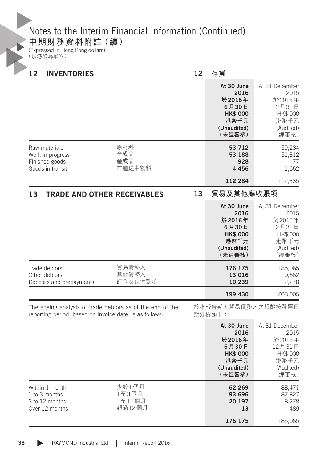### **中期財務資料附註(續)**

(Expressed in Hong Kong dollars) (以港幣為單位)

| 12<br><b>INVENTORIES</b>                                                |                                                           | 12 |                                                                                           | 存貨                                                                                   |  |  |
|-------------------------------------------------------------------------|-----------------------------------------------------------|----|-------------------------------------------------------------------------------------------|--------------------------------------------------------------------------------------|--|--|
|                                                                         |                                                           |    | At 30 June<br>2016<br>於2016年<br>6月30日<br><b>HK\$'000</b><br>港幣千元<br>(Unaudited)<br>(未經審核) | At 31 December<br>2015<br>於2015年<br>12月31日<br>HK\$'000<br>港幣千元<br>(Audited)<br>(經審核) |  |  |
| Raw materials<br>Work in progress<br>Finished goods<br>Goods in transit | 原材料<br>半成品<br>產成品<br>在運送中物料                               |    | 53,712<br>53,188<br>928<br>4,456                                                          | 59,284<br>51,312<br>77<br>1,662                                                      |  |  |
|                                                                         |                                                           |    | 112,284                                                                                   | 112,335                                                                              |  |  |
| 13                                                                      | <b>TRADE AND OTHER RECEIVABLES</b>                        | 13 |                                                                                           | 貿易及其他應收賬項                                                                            |  |  |
|                                                                         |                                                           |    | At 30 June<br>2016<br>於2016年<br>6月30日<br><b>HK\$'000</b><br>港幣千元<br>(Unaudited)<br>(未經審核) | At 31 December<br>2015<br>於2015年<br>12月31日<br>HK\$'000<br>港幣千元<br>(Audited)<br>(經審核) |  |  |
| Trade debtors<br>Other debtors<br>Deposits and prepayments              | 貿易債務人<br>其他債務人<br>訂金及預付款項                                 |    | 176,175<br>13,016<br>10,239                                                               | 185,065<br>10,662<br>12,278                                                          |  |  |
|                                                                         |                                                           |    | 199,430                                                                                   | 208,005                                                                              |  |  |
| reporting period, based on invoice date, is as follows:                 | The ageing analysis of trade debtors as of the end of the |    | 於本報告期末貿易債務人之賬齡按發票日<br>期分析如下:                                                              |                                                                                      |  |  |
|                                                                         |                                                           |    | At 30 June<br>2016<br>於2016年<br>6月30日<br><b>HK\$'000</b><br>港幣千元                          | At 31 December<br>2015<br>於2015年<br>12月31日<br>HK\$'000<br>港幣千元                       |  |  |

|                                                                     |                                    | (Unaudited)<br>(未經審核)            | (Audited)<br>〔經審核〕               |
|---------------------------------------------------------------------|------------------------------------|----------------------------------|----------------------------------|
| Within 1 month<br>1 to 3 months<br>3 to 12 months<br>Over 12 months | 少於1個月<br>1至3個月<br>3至12個月<br>超過12個月 | 62,269<br>93,696<br>20.197<br>13 | 88.471<br>87,827<br>8.278<br>489 |
|                                                                     |                                    | 176,175                          | 185,065                          |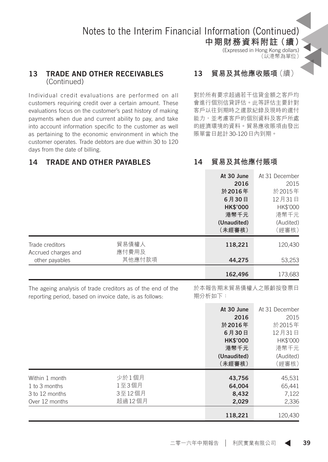**中期財務資料附註(續)** (Expressed in Hong Kong dollars) (以港幣為單位)

#### 13 TRADE AND OTHER RECEIVABLES (Continued)

Individual credit evaluations are performed on all customers requiring credit over a certain amount. These evaluations focus on the customer's past history of making payments when due and current ability to pay, and take into account information specific to the customer as well as pertaining to the economic environment in which the customer operates. Trade debtors are due within 30 to 120 days from the date of billing.

### 13 **貿易及其他應收賬項**(續)

對於所有要求超過若干信貸金額之客戶均 會進行個別信貸評估。此等評估主要針對 客戶以往到期時之還款紀錄及現時的還付 能力,並考慮客戶的個別資料及客戶所處 的經濟環境的資料。貿易應收賬項由發出 賬單當日起計30-120日內到期。

### 14 TRADE AND OTHER PAYABLES

14 **貿易及其他應付賬項**

|                                        |                | At 30 June      | At 31 December |
|----------------------------------------|----------------|-----------------|----------------|
|                                        |                | 2016            | 2015           |
|                                        |                | 於2016年          | 於2015年         |
|                                        |                | 6月30日           | 12月31日         |
|                                        |                | <b>HK\$'000</b> | HK\$'000       |
|                                        |                | 港幣千元            | 港幣千元           |
|                                        |                | (Unaudited)     | (Audited)      |
|                                        |                | (未經審核)          | (經審核)          |
| Trade creditors<br>Accrued charges and | 貿易債權人<br>應付費用及 | 118,221         | 120,430        |
| other payables                         | 其他應付款項         | 44,275          | 53,253         |
|                                        |                | 162,496         | 173,683        |
|                                        |                |                 |                |

The ageing analysis of trade creditors as of the end of the reporting period, based on invoice date, is as follows:

於本報告期末貿易債權人之賬齡按發票日 期分析如下:

|        | At 30 June      | At 31 December |
|--------|-----------------|----------------|
|        | 2016            | 2015           |
|        | 於 2016年         | 於2015年         |
|        | 6月30日           | 12月31日         |
|        | <b>HK\$'000</b> | HK\$'000       |
|        | 港幣千元            | 港幣千元           |
|        | (Unaudited)     | (Audited)      |
|        | (未經審核)          | (經審核)          |
| 少於1個月  | 43,756          | 45,531         |
| 1至3個月  | 64,004          | 65,441         |
| 3至12個月 | 8,432           | 7,122          |
| 超過12個月 | 2,029           | 2,336          |
|        |                 | 120,430        |
|        |                 | 118,221        |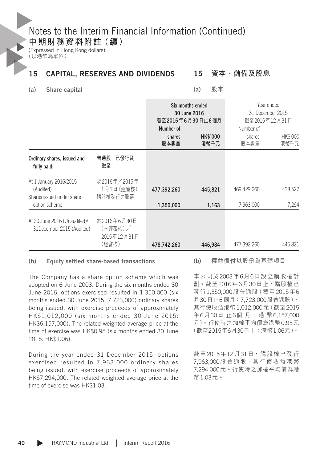**中期財務資料附註(續)**

(Expressed in Hong Kong dollars) (以港幣為單位)

#### 15 CAPITAL, RESERVES AND DIVIDENDS 15 **資本、儲備及股息**

(a) Share capital

(a) **股本**

|                                                                                   |                                                | 截至2016年6月30日止6個月<br>Number of<br>shares<br>股本數量 | Six months ended<br>30 June 2016<br><b>HK\$'000</b><br>港幣千元 | Year ended<br>31 December 2015<br>截至2015年12月31日<br>Number of<br>shares<br>股本數量 | HK\$'000<br>港幣千元 |
|-----------------------------------------------------------------------------------|------------------------------------------------|-------------------------------------------------|-------------------------------------------------------------|--------------------------------------------------------------------------------|------------------|
| Ordinary shares, issued and<br>fully paid:                                        | 普通股,已發行及<br>繳足:                                |                                                 |                                                             |                                                                                |                  |
| At 1 January 2016/2015<br>(Audited)<br>Shares issued under share<br>option scheme | 於2016年/2015年<br>1月1日 (經審核)<br>購股權發行之股票         | 477.392.260<br>1,350,000                        | 445.821<br>1,163                                            | 469,429,260<br>7,963,000                                                       | 438,527<br>7,294 |
| At 30 June 2016 (Unaudited)/<br>31December 2015 (Audited)                         | 於2016年6月30日<br>(未經審核)/<br>2015年12月31日<br>(經審核) | 478,742,260                                     | 446,984                                                     | 477,392,260                                                                    | 445,821          |

#### (b) Equity settled share-based transactions

The Company has a share option scheme which was adopted on 6 June 2003. During the six months ended 30 June 2016, options exercised resulted in 1,350,000 (six months ended 30 June 2015: 7,723,000) ordinary shares being issued, with exercise proceeds of approximately HK\$1,012,000 (six months ended 30 June 2015: HK\$6,157,000). The related weighted average price at the time of exercise was HK\$0.95 (six months ended 30 June 2015: HK\$1.06).

During the year ended 31 December 2015, options exercised resulted in 7,963,000 ordinary shares being issued, with exercise proceeds of approximately HK\$7,294,000. The related weighted average price at the time of exercise was HK\$1.03.

(b) **權益償付以股份為基礎項目**

本公司於2003年6月6日設立購股權計 劃。截至2016年6月30日止,購股權已 發行1,350,000股普通股(截至2015年6 月30日止6個月:7,723,000股普通股), 其行使收益港幣1,012,000元(截至2015 年6月30日 止6個 月: 港 幣6,157,000 元)。行使時之加權平均價為港幣0.95元 (截至2015年6月30日止:港幣1.06元)。

截至2015年12月31日,購股權已發行 7,963,000股普通股,其行使收益港幣 7,294,000元。行使時之加權平均價為港 幣1.03元。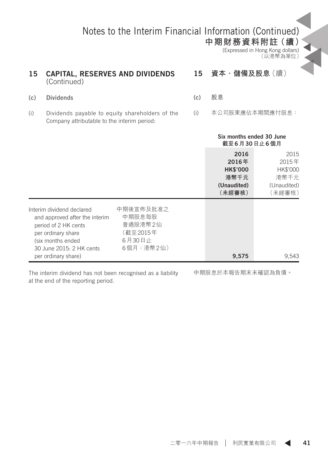**中期財務資料附註(續)**

(Expressed in Hong Kong dollars) (以港幣為單位)

#### 15 CAPITAL, RESERVES AND DIVIDENDS (Continued) (c) Dividends 15 **資本、儲備及股息**(續) (c) **股息**

(i) Dividends payable to equity shareholders of the Company attributable to the interim period:

(i) 本公司股東應佔本期間應付股息:

|                                                                                                                                                                                   |                                                                   | Six months ended 30 June<br>截至6月30日止6個月                           |                                                            |
|-----------------------------------------------------------------------------------------------------------------------------------------------------------------------------------|-------------------------------------------------------------------|-------------------------------------------------------------------|------------------------------------------------------------|
|                                                                                                                                                                                   |                                                                   | 2016<br>2016年<br><b>HK\$'000</b><br>港幣千元<br>(Unaudited)<br>(未經審核) | 2015<br>2015年<br>HK\$'000<br>港幣千元<br>(Unaudited)<br>〔未經審核〕 |
| Interim dividend declared<br>and approved after the interim<br>period of 2 HK cents<br>per ordinary share<br>(six months ended<br>30 June 2015: 2 HK cents<br>per ordinary share) | 中期後宣佈及批准之<br>中期股息每股<br>普通股港幣2仙<br>(截至2015年<br>6月30日止<br>6個月:港幣2仙) | 9,575                                                             | 9,543                                                      |

The interim dividend has not been recognised as a liability at the end of the reporting period.

中期股息於本報告期末未確認為負債。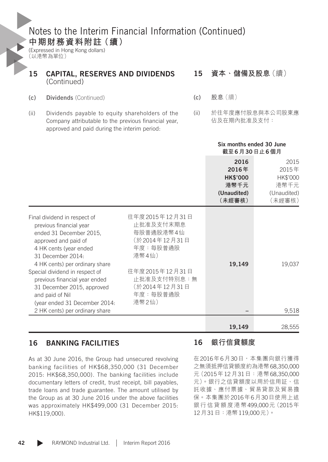(Expressed in Hong Kong dollars) (以港幣為單位)

### 15 CAPITAL, RESERVES AND DIVIDENDS (Continued)

- (c) Dividends (Continued)
- (ii) Dividends payable to equity shareholders of the Company attributable to the previous financial year, approved and paid during the interim period:

#### 15 **資本、儲備及股息**(續)

- (c) **股息**(續)
- (ii) 於往年度應付股息與本公司股東應 佔及在期內批准及支付:

|                                                                                                                                                                                                                                                                                                                                                                                    |                                                                                                                                                       | Six months ended 30 June<br>截至6月30日止6個月                           |                                                            |
|------------------------------------------------------------------------------------------------------------------------------------------------------------------------------------------------------------------------------------------------------------------------------------------------------------------------------------------------------------------------------------|-------------------------------------------------------------------------------------------------------------------------------------------------------|-------------------------------------------------------------------|------------------------------------------------------------|
|                                                                                                                                                                                                                                                                                                                                                                                    |                                                                                                                                                       | 2016<br>2016年<br><b>HK\$'000</b><br>港幣千元<br>(Unaudited)<br>(未經審核) | 2015<br>2015年<br>HK\$'000<br>港幣千元<br>(Unaudited)<br>(未經審核) |
| Final dividend in respect of<br>previous financial year<br>ended 31 December 2015,<br>approved and paid of<br>4 HK cents (year ended<br>31 December 2014:<br>4 HK cents) per ordinary share<br>Special dividend in respect of<br>previous financial year ended<br>31 December 2015, approved<br>and paid of Nil<br>(year ended 31 December 2014:<br>2 HK cents) per ordinary share | 往年度2015年12月31日<br>止批准及支付末期息<br>每股普通股港幣4仙<br>(於2014年12月31日<br>年度:每股普通股<br>港幣4仙)<br>往年度2015年12月31日<br>止批准及支付特別息:無<br>(於2014年12月31日<br>年度:每股普通股<br>港幣2仙) | 19,149                                                            | 19,037<br>9,518                                            |
|                                                                                                                                                                                                                                                                                                                                                                                    |                                                                                                                                                       | 19,149                                                            | 28.555                                                     |

#### 16 BANKING FACILITIES

As at 30 June 2016, the Group had unsecured revolving banking facilities of HK\$68,350,000 (31 December 2015: HK\$68,350,000). The banking facilities include documentary letters of credit, trust receipt, bill payables, trade loans and trade guarantee. The amount utilised by the Group as at 30 June 2016 under the above facilities was approximately HK\$499,000 (31 December 2015: HK\$119,000).

#### 16 **銀行信貸額度**

在2016年6月30日,本集團向銀行獲得 之無須抵押信貸額度約為港幣68,350,000 元(2015年12月31日:港幣68,350,000 元)。銀行之信貸額度以用於信用証、信 託收據、應付票據、貿易貸款及貿易擔 保。本集團於2016年6月30日使用上述 銀行信貸額度港幣499,000元(2015年 12月31日:港幣119,000元)。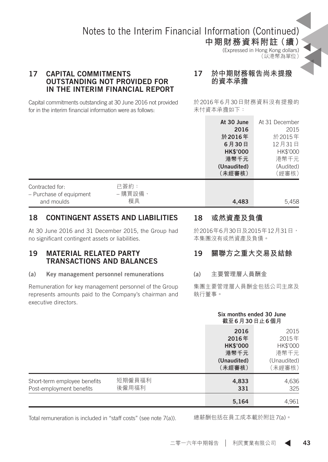**中期財務資料附註(續)** (Expressed in Hong Kong dollars) (以港幣為單位)

#### 17 CAPITAL COMMITMENTS OUTSTANDING NOT PROVIDED FOR IN THE INTERIM FINANCIAL REPORT

#### 17 **於中期財務報告尚未提撥 的資本承擔**

Capital commitments outstanding at 30 June 2016 not provided for in the interim financial information were as follows:

於2016年6月30日財務資料沒有提撥的 未付資本承擔如下:

|                         |         | At 30 June      | At 31 December |
|-------------------------|---------|-----------------|----------------|
|                         |         | 2016            | 2015           |
|                         |         | 於 2016年         | 於2015年         |
|                         |         | 6月30日           | 12月31日         |
|                         |         | <b>HK\$'000</b> | HK\$'000       |
|                         |         | 港幣千元            | 港幣千元           |
|                         |         | (Unaudited)     | (Audited)      |
|                         |         | (未經審核)          | (經審核)          |
| Contracted for:         | 已簽約:    |                 |                |
| - Purchase of equipment | - 購買設備、 |                 |                |
| and moulds              | 模具      | 4,483           | 5,458          |
|                         |         |                 |                |

#### 18 CONTINGENT ASSETS AND LIABILITIES

At 30 June 2016 and 31 December 2015, the Group had no significant contingent assets or liabilities.

#### 19 MATERIAL RELATED PARTY TRANSACTIONS AND BALANCES

(a) Key management personnel remunerations

Remuneration for key management personnel of the Group represents amounts paid to the Company's chairman and executive directors.

#### 18 **或然資產及負債**

於2016年6月30日及2015年12月31日, 本集團沒有或然資產及負債。

### 19 **關聯方之重大交易及結餘**

(a) **主要管理層人員酬金**

集團主要管理層人員酬金包括公司主席及 執行董事。

|                                                          |                 | Six months ended 30 June<br>截至6月30日止6個月                           |                                                            |
|----------------------------------------------------------|-----------------|-------------------------------------------------------------------|------------------------------------------------------------|
|                                                          |                 | 2016<br>2016年<br><b>HK\$'000</b><br>港幣千元<br>(Unaudited)<br>(未經審核) | 2015<br>2015年<br>HK\$'000<br>港幣千元<br>(Unaudited)<br>〔未經審核〕 |
| Short-term employee benefits<br>Post-employment benefits | 短期僱員福利<br>後僱用福利 | 4,833<br>331                                                      | 4,636<br>325                                               |
|                                                          |                 | 5,164                                                             | 4,961                                                      |

Total remuneration is included in "staff costs" (see note 7(a)).

總薪酬包括在員工成本載於附註7(a)。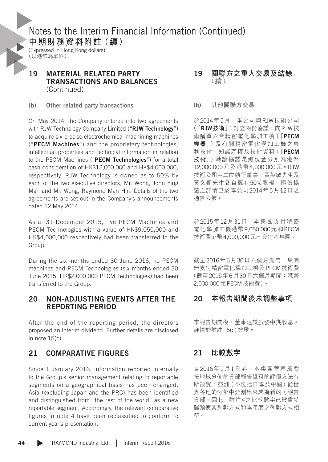(Expressed in Hong Kong dollars) (以港幣為單位)

#### 19 MATERIAL RELATED PARTY TRANSACTIONS AND BALANCES (Continued)

(b) Other related party transactions

On May 2014, the Company entered into two agreements with RJW Technology Company Limited ("RJW Technology") to acquire six precise electrochemical machining machines ("PECM Machines") and the proprietary technologies, intellectual properties and technical information in relation to the PECM Machines ("PECM Technologies") for a total cash consideration of HK\$12,000,000 and HK\$4,000,000, respectively. RJW Technology is owned as to 50% by each of the two executive directors, Mr. Wong, John Ying Man and Mr. Wong, Raymond Man Hin. Details of the two agreements are set out in the Company's announcements dated 12 May 2014.

As at 31 December 2015, five PECM Machines and PECM Technologies with a value of HK\$9,050,000 and HK\$4,000,000 respectively had been transferred to the Group.

During the six months ended 30 June 2016, no PECM machines and PECM Technologies (six months ended 30 June 2015: HK\$2,000,000 PECM Technologies) had been transferred to the Group.

#### 20 NON-ADJUSTING EVENTS AFTER THE REPORTING PERIOD

After the end of the reporting period, the directors proposed an interim dividend. Further details are disclosed in note 15(c).

#### 21 COMPARATIVE FIGURES

Since 1 January 2016, information reported internally to the Group's senior management relating to reportable segments on a geographical basis has been changed. Asia (excluding Japan and the PRC) has been identified and distinguished from "the rest of the world" as a new reportable segment. Accordingly, the relevant comparative figures in note 4 have been reclassified to conform to current year's presentation.

- 19 **關聯方之重大交易及結餘** (續)
- (b) **其他關聯方交易**

於2014年5月,本公司與RJW技術公司 (「RJW**技術**」)訂立兩份協議,向RJW技 術購買六台精密電化學加工機(「PECM **機器**」)及有關精密電化學加工機之專 利技術、知識產權及技術資料(「PECM **技術**」)轉讓協議是總現金分別為港幣 12,000,000元及港幣4,000,000元。RJW 技術公司由二位執行董事,黃英敏先生及 黃文顯先生各自擁有50%股權。兩份協 議之詳情已於本公司2014年5月12日之 通告公佈。

於2015年12月31日,本集團支付精密 電化學加工機港幣9,050,000元和PECM 技術費港幣4,000,000元已交付本集團。

截至2016年6月30日六個月期間,集團 無支付精密電化學加工機及PECM技術費 (截至2015年6月30日六個月期間:港幣 2,000,000元PECM技術費)。

#### 20 **本報告期間後未調整事項**

本報告期間後,董事建議派發中期股息。 詳情於附註15(c)披露。

#### 21 **比較數字**

自2016年1月1日起,本集團管理層對 按地域分佈的分部報告資料的評價方法有 所改變。亞洲(不包括日本及中國)從世 界各地的分部中分割出來成為新的可報告 分部。因此,附註4之比較數字已被重新 歸類使其列報方式和本年度之列報方式相 符。